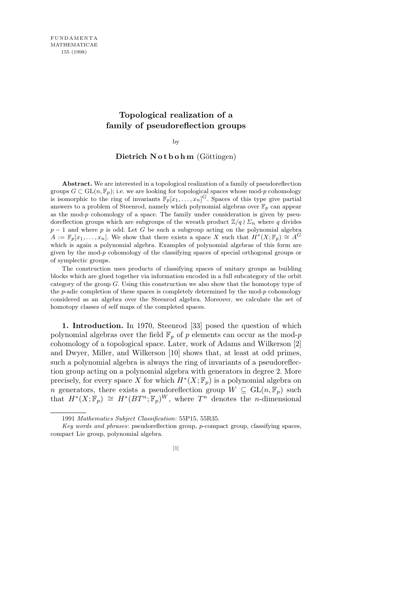## **Topological realization of a family of pseudoreflection groups**

by

## Dietrich Notbohm (Göttingen)

**Abstract.** We are interested in a topological realization of a family of pseudoreflection groups  $G \subset GL(n, \mathbb{F}_p)$ ; i.e. we are looking for topological spaces whose mod-*p* cohomology is isomorphic to the ring of invariants  $\mathbb{F}_p[x_1,\ldots,x_n]$ <sup>G</sup>. Spaces of this type give partial answers to a problem of Steenrod, namely which polynomial algebras over  $\mathbb{F}_p$  can appear as the mod-*p* cohomology of a space. The family under consideration is given by pseudoreflection groups which are subgroups of the wreath product  $\mathbb{Z}/q \wr \Sigma_n$  where q divides *p* − 1 and where *p* is odd. Let *G* be such a subgroup acting on the polynomial algebra  $A := \mathbb{F}_p[x_1, \ldots, x_n]$ . We show that there exists a space *X* such that  $H^*(X; \mathbb{F}_p) \cong A^G$ which is again a polynomial algebra. Examples of polynomial algebras of this form are given by the mod-*p* cohomology of the classifying spaces of special orthogonal groups or of symplectic groups.

The construction uses products of classifying spaces of unitary groups as building blocks which are glued together via information encoded in a full subcategory of the orbit category of the group *G*. Using this construction we also show that the homotopy type of the *p*-adic completion of these spaces is completely determined by the mod-*p* cohomology considered as an algebra over the Steenrod algebra. Moreover, we calculate the set of homotopy classes of self maps of the completed spaces.

**1. Introduction.** In 1970, Steenrod [33] posed the question of which polynomial algebras over the field  $\mathbb{F}_p$  of p elements can occur as the mod-p cohomology of a topological space. Later, work of Adams and Wilkerson [2] and Dwyer, Miller, and Wilkerson [10] shows that, at least at odd primes, such a polynomial algebra is always the ring of invariants of a pseudoreflection group acting on a polynomial algebra with generators in degree 2. More precisely, for every space *X* for which  $H^*(X; \mathbb{F}_p)$  is a polynomial algebra on *n* generators, there exists a pseudoreflection group  $W \subseteq GL(n, \mathbb{F}_p)$  such that  $H^*(X; \mathbb{F}_p) \cong H^*(BT^n; \mathbb{F}_p)^W$ , where  $T^n$  denotes the *n*-dimensional

<sup>1991</sup> *Mathematics Subject Classification*: 55P15, 55R35.

*Key words and phrases*: pseudoreflection group, *p*-compact group, classifying spaces, compact Lie group, polynomial algebra.

<sup>[1]</sup>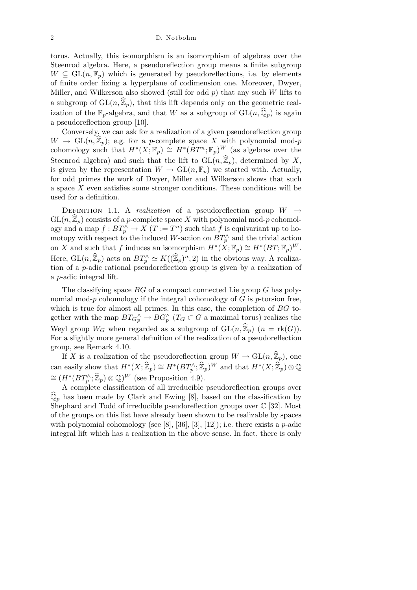2 D. Notbohm

torus. Actually, this isomorphism is an isomorphism of algebras over the Steenrod algebra. Here, a pseudoreflection group means a finite subgroup  $W \subseteq GL(n, \mathbb{F}_p)$  which is generated by pseudoreflections, i.e. by elements of finite order fixing a hyperplane of codimension one. Moreover, Dwyer, Miller, and Wilkerson also showed (still for odd *p*) that any such *W* lifts to a subgroup of  $GL(n,\hat{\mathbb{Z}}_p)$ , that this lift depends only on the geometric realization of the  $\mathbb{F}_p$ -algebra, and that *W* as a subgroup of  $GL(n,\hat{\mathbb{Q}}_p)$  is again a pseudoreflection group [10].

Conversely, we can ask for a realization of a given pseudoreflection group  $W \to GL(n, \hat{\mathbb{Z}}_p)$ ; e.g. for a *p*-complete space X with polynomial mod-*p* cohomology such that  $H^*(X; \mathbb{F}_p) \cong H^*(BT^n; \mathbb{F}_p)^W$  (as algebras over the Steenrod algebra) and such that the lift to  $GL(n,\hat{\mathbb{Z}}_p)$ , determined by X, is given by the representation  $W \to GL(n, \mathbb{F}_p)$  we started with. Actually, for odd primes the work of Dwyer, Miller and Wilkerson shows that such a space *X* even satisfies some stronger conditions. These conditions will be used for a definition.

DEFINITION 1.1. A *realization* of a pseudoreflection group  $W \rightarrow$  $GL(n, \widehat{\mathbb{Z}}_p)$  consists of a *p*-complete space X with polynomial mod-*p* cohomology and a map  $f : BT_{p}^{\wedge} \rightarrow X$  ( $T := T^{n}$ ) such that  $f$  is equivariant up to homotopy with respect to the induced *W*-action on  $BT_p^{\wedge}$  and the trivial action on *X* and such that *f* induces an isomorphism  $H^*(X; \mathbb{F}_p) \cong H^*(BT; \mathbb{F}_p)^W$ . Here,  $GL(n,\hat{\mathbb{Z}}_p)$  acts on  $BT_p^{\wedge} \simeq K((\widehat{\mathbb{Z}}_p)^n,2)$  in the obvious way. A realization of a *p*-adic rational pseudoreflection group is given by a realization of a *p*-adic integral lift.

The classifying space *BG* of a compact connected Lie group *G* has polynomial mod-*p* cohomology if the integral cohomology of *G* is *p*-torsion free, which is true for almost all primes. In this case, the completion of *BG* together with the map  $BT_{G_p^{\wedge}} \to BG_p^{\wedge}$  ( $T_G \subset G$  a maximal torus) realizes the Weyl group  $W_G$  when regarded as a subgroup of  $GL(n,\hat{\mathbb{Z}}_p)$  ( $n = \text{rk}(G)$ ). For a slightly more general definition of the realization of a pseudoreflection group, see Remark 4.10.

If *X* is a realization of the pseudoreflection group  $W \to GL(n, \mathbb{Z}_p)$ , one can easily show that  $H^*(X; \widehat{\mathbb{Z}}_p) \cong H^*(BT_p^{\wedge}; \widehat{\mathbb{Z}}_p)^W$  and that  $H^*(X; \widehat{\mathbb{Z}}_p) \otimes \mathbb{Q}$  $\cong (H^*(BT_p^{\wedge};\hat{\mathbb{Z}}_p) \otimes \mathbb{Q})^W$  (see Proposition 4.9).

A complete classification of all irreducible pseudoreflection groups over  $\mathbb{Q}_p$  has been made by Clark and Ewing [8], based on the classification by Shephard and Todd of irreducible pseudoreflection groups over  $\mathbb{C}$  [32]. Most of the groups on this list have already been shown to be realizable by spaces with polynomial cohomology (see [8], [36], [3], [12]); i.e. there exists a *p*-adic integral lift which has a realization in the above sense. In fact, there is only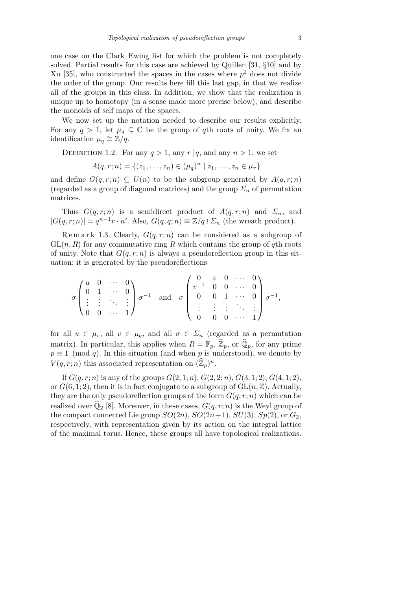one case on the Clark–Ewing list for which the problem is not completely solved. Partial results for this case are achieved by Quillen [31, *§*10] and by Xu [35], who constructed the spaces in the cases where  $p<sup>2</sup>$  does not divide the order of the group. Our results here fill this last gap, in that we realize all of the groups in this class. In addition, we show that the realization is unique up to homotopy (in a sense made more precise below), and describe the monoids of self maps of the spaces.

We now set up the notation needed to describe our results explicitly. For any  $q > 1$ , let  $\mu_q \subseteq \mathbb{C}$  be the group of *q*th roots of unity. We fix an identification  $\mu_q \cong \mathbb{Z}/q$ .

DEFINITION 1.2. For any  $q > 1$ , any  $r | q$ , and any  $n > 1$ , we set

$$
A(q,r;n) = \{(z_1,\ldots,z_n) \in (\mu_q)^n \mid z_1,\ldots,z_n \in \mu_r\}
$$

and define  $G(q, r; n) \subseteq U(n)$  to be the subgroup generated by  $A(q, r; n)$ (regarded as a group of diagonal matrices) and the group  $\Sigma_n$  of permutation matrices.

Thus  $G(q, r; n)$  is a semidirect product of  $A(q, r; n)$  and  $\Sigma_n$ , and  $|G(q, r; n)| = q^{n-1}r \cdot n!$ . Also,  $G(q, q; n) ≅ \mathbb{Z}/q \wr \Sigma_n$  (the wreath product).

Remark 1.3. Clearly,  $G(q, r; n)$  can be considered as a subgroup of  $GL(n, R)$  for any commutative ring R which contains the group of  $q$ th roots of unity. Note that  $G(q, r; n)$  is always a pseudoreflection group in this situation: it is generated by the pseudoreflections

$$
\sigma\begin{pmatrix} u & 0 & \cdots & 0 \\ 0 & 1 & \cdots & 0 \\ \vdots & \vdots & \ddots & \vdots \\ 0 & 0 & \cdots & 1 \end{pmatrix} \sigma^{-1} \quad \text{and} \quad \sigma\begin{pmatrix} 0 & v & 0 & \cdots & 0 \\ v^{-1} & 0 & 0 & \cdots & 0 \\ 0 & 0 & 1 & \cdots & 0 \\ \vdots & \vdots & \vdots & \ddots & \vdots \\ 0 & 0 & 0 & \cdots & 1 \end{pmatrix} \sigma^{-1},
$$

for all  $u \in \mu_r$ , all  $v \in \mu_q$ , and all  $\sigma \in \Sigma_n$  (regarded as a permutation matrix). In particular, this applies when  $R = \mathbb{F}_p$ ,  $\mathbb{Z}_p$ , or  $\mathbb{Q}_p$ , for any prime  $p \equiv 1 \pmod{q}$ . In this situation (and when *p* is understood), we denote by  $V(q,r;n)$  this associated representation on  $(\widehat{\mathbb{Z}}_p)^n$ .

If  $G(q, r; n)$  is any of the groups  $G(2, 1; n)$ ,  $G(2, 2; n)$ ,  $G(3, 1; 2)$ ,  $G(4, 1; 2)$ , or  $G(6, 1; 2)$ , then it is in fact conjugate to a subgroup of  $GL(n, \mathbb{Z})$ . Actually, they are the only pseudoreflection groups of the form  $G(q, r; n)$  which can be realized over  $\widehat{Q}_2$  [8]. Moreover, in these cases,  $G(q, r; n)$  is the Weyl group of the compact connected Lie group  $SO(2n)$ ,  $SO(2n+1)$ ,  $SU(3)$ ,  $Sp(2)$ , or  $G_2$ , respectively, with representation given by its action on the integral lattice of the maximal torus. Hence, these groups all have topological realizations.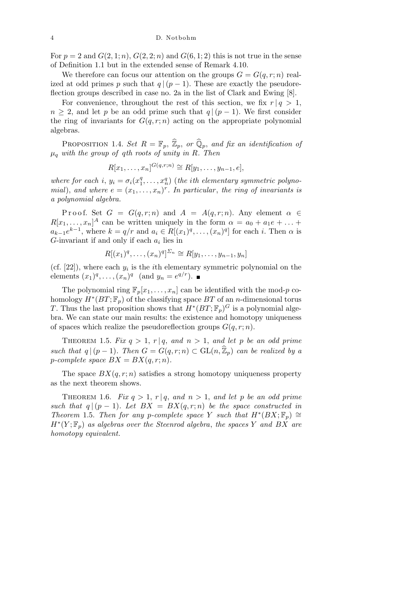For  $p = 2$  and  $G(2, 1; n)$ ,  $G(2, 2; n)$  and  $G(6, 1; 2)$  this is not true in the sense of Definition 1.1 but in the extended sense of Remark 4.10.

We therefore can focus our attention on the groups  $G = G(q, r; n)$  realized at odd primes *p* such that  $q|(p-1)$ . These are exactly the pseudoreflection groups described in case no. 2a in the list of Clark and Ewing [8].

For convenience, throughout the rest of this section, we fix  $r | q > 1$ ,  $n \geq 2$ , and let *p* be an odd prime such that  $q \mid (p-1)$ . We first consider the ring of invariants for  $G(q, r; n)$  acting on the appropriate polynomial algebras.

PROPOSITION 1.4. *Set*  $R = \mathbb{F}_p$ ,  $\widehat{\mathbb{Z}}_p$ , *or*  $\widehat{\mathbb{Q}}_p$ , *and fix an identification of µ<sup>q</sup> with the group of qth roots of unity in R. Then*

$$
R[x_1,\ldots,x_n]^{G(q,r;n)} \cong R[y_1,\ldots,y_{n-1},e],
$$

*where for each i,*  $y_i = \sigma_i(x_1^q)$  $x_1^q, \ldots, x_n^q$ ) (*the ith elementary symmetric polynomial*), and where  $e = (x_1, \ldots, x_n)^r$ . In particular, the ring of invariants is *a polynomial algebra.*

Proof. Set  $G = G(q, r; n)$  and  $A = A(q, r; n)$ . Any element  $\alpha \in$  $R[x_1, \ldots, x_n]^A$  can be written uniquely in the form  $\alpha = a_0 + a_1e + \ldots$  $a_{k-1}e^{k-1}$ , where  $k = q/r$  and  $a_i \in R[(x_1)^q, \ldots, (x_n)^q]$  for each *i*. Then  $\alpha$  is *G*-invariant if and only if each *a<sup>i</sup>* lies in

$$
R[(x_1)^q, \ldots, (x_n)^q]^{n} \cong R[y_1, \ldots, y_{n-1}, y_n]
$$

(cf.  $[22]$ ), where each  $y_i$  is the *i*<sup>th</sup> elementary symmetric polynomial on the elements  $(x_1)^q, \ldots, (x_n)^q$  (and  $y_n = e^{q/r}$ ).

The polynomial ring  $\mathbb{F}_p[x_1,\ldots,x_n]$  can be identified with the mod-*p* cohomology  $H^*(BT; \mathbb{F}_p)$  of the classifying space  $BT$  of an *n*-dimensional torus *T*. Thus the last proposition shows that  $H^*(BT; \mathbb{F}_p)^G$  is a polynomial algebra. We can state our main results: the existence and homotopy uniqueness of spaces which realize the pseudoreflection groups  $G(q, r; n)$ .

THEOREM 1.5. *Fix*  $q > 1$ ,  $r | q$ , and  $n > 1$ , and let *p* be an odd prime *such that*  $q|(p-1)$ *. Then*  $G = G(q, r; n) \subset GL(n, \hat{\mathbb{Z}}_p)$  *can be realized by a p*-complete space  $BX = BX(q, r; n)$ .

The space  $BX(q, r; n)$  satisfies a strong homotopy uniqueness property as the next theorem shows.

THEOREM 1.6. *Fix*  $q > 1$ ,  $r | q$ , and  $n > 1$ , and let p be an odd prime *such that*  $q|(p-1)$ *. Let*  $BX = BX(q,r;n)$  *be the space constructed in Theorem* 1.5. *Then for any p*-complete space *Y* such that  $H^*(BX; \mathbb{F}_p) \cong$ *H<sup>∗</sup>* (*Y* ; F*p*) *as algebras over the Steenrod algebra*, *the spaces Y and BX are homotopy equivalent.*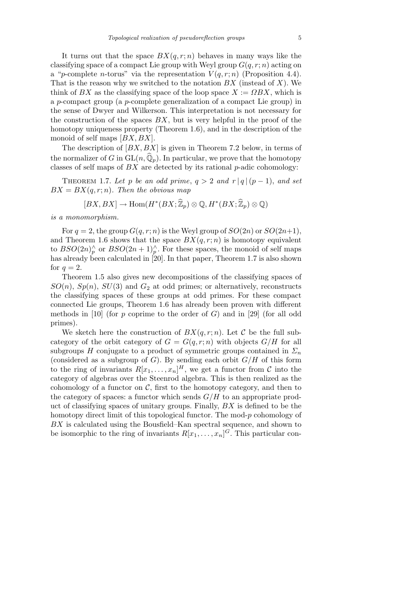It turns out that the space  $BX(q, r; n)$  behaves in many ways like the classifying space of a compact Lie group with Weyl group  $G(q, r; n)$  acting on a "*p*-complete *n*-torus" via the representation  $V(q, r; n)$  (Proposition 4.4). That is the reason why we switched to the notation *BX* (instead of *X*). We think of *BX* as the classifying space of the loop space  $X := \Omega BX$ , which is a *p*-compact group (a *p*-complete generalization of a compact Lie group) in the sense of Dwyer and Wilkerson. This interpretation is not necessary for the construction of the spaces *BX*, but is very helpful in the proof of the homotopy uniqueness property (Theorem 1.6), and in the description of the monoid of self maps [*BX, BX*].

The description of [*BX, BX*] is given in Theorem 7.2 below, in terms of the normalizer of *G* in  $GL(n, \hat{Q}_p)$ . In particular, we prove that the homotopy classes of self maps of *BX* are detected by its rational *p*-adic cohomology:

THEOREM 1.7. Let p be an odd prime,  $q > 2$  and  $r | q | (p - 1)$ , and set  $BX = BX(q, r; n)$ *. Then the obvious map* 

$$
[BX, BX] \to \text{Hom}(H^*(BX; \widehat{\mathbb{Z}}_p) \otimes \mathbb{Q}, H^*(BX; \widehat{\mathbb{Z}}_p) \otimes \mathbb{Q})
$$

*is a monomorphism.*

For  $q = 2$ , the group  $G(q, r; n)$  is the Weyl group of  $SO(2n)$  or  $SO(2n+1)$ , and Theorem 1.6 shows that the space  $BX(q, r; n)$  is homotopy equivalent to  $BSO(2n)$ <sup> $\wedge$ </sup> or  $BSO(2n+1)$ <sup> $\wedge$ </sup>. For these spaces, the monoid of self maps has already been calculated in [20]. In that paper, Theorem 1.7 is also shown for  $q=2$ .

Theorem 1.5 also gives new decompositions of the classifying spaces of  $SO(n)$ ,  $Sp(n)$ ,  $SU(3)$  and  $G_2$  at odd primes; or alternatively, reconstructs the classifying spaces of these groups at odd primes. For these compact connected Lie groups, Theorem 1.6 has already been proven with different methods in [10] (for *p* coprime to the order of *G*) and in [29] (for all odd primes).

We sketch here the construction of  $BX(q, r; n)$ . Let C be the full subcategory of the orbit category of  $G = G(q, r; n)$  with objects  $G/H$  for all subgroups *H* conjugate to a product of symmetric groups contained in  $\Sigma_n$ (considered as a subgroup of *G*). By sending each orbit  $G/H$  of this form to the ring of invariants  $R[x_1, \ldots, x_n]^H$ , we get a functor from  $\mathcal C$  into the category of algebras over the Steenrod algebra. This is then realized as the cohomology of a functor on  $\mathcal{C}$ , first to the homotopy category, and then to the category of spaces: a functor which sends *G/H* to an appropriate product of classifying spaces of unitary groups. Finally, *BX* is defined to be the homotopy direct limit of this topological functor. The mod-*p* cohomology of *BX* is calculated using the Bousfield–Kan spectral sequence, and shown to be isomorphic to the ring of invariants  $R[x_1, \ldots, x_n]$ <sup>*G*</sup>. This particular con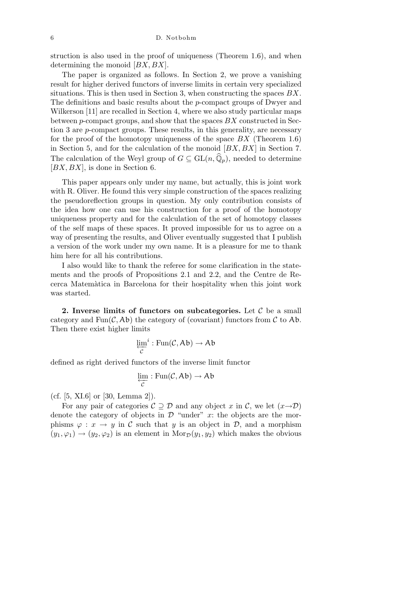6 D. Notbohm

struction is also used in the proof of uniqueness (Theorem 1.6), and when determining the monoid [*BX, BX*].

The paper is organized as follows. In Section 2, we prove a vanishing result for higher derived functors of inverse limits in certain very specialized situations. This is then used in Section 3, when constructing the spaces *BX*. The definitions and basic results about the *p*-compact groups of Dwyer and Wilkerson [11] are recalled in Section 4, where we also study particular maps between *p*-compact groups, and show that the spaces *BX* constructed in Section 3 are *p*-compact groups. These results, in this generality, are necessary for the proof of the homotopy uniqueness of the space *BX* (Theorem 1.6) in Section 5, and for the calculation of the monoid [*BX, BX*] in Section 7. The calculation of the Weyl group of  $G \subseteq GL(n, \widehat{Q}_p)$ , needed to determine [*BX, BX*], is done in Section 6.

This paper appears only under my name, but actually, this is joint work with R. Oliver. He found this very simple construction of the spaces realizing the pseudoreflection groups in question. My only contribution consists of the idea how one can use his construction for a proof of the homotopy uniqueness property and for the calculation of the set of homotopy classes of the self maps of these spaces. It proved impossible for us to agree on a way of presenting the results, and Oliver eventually suggested that I publish a version of the work under my own name. It is a pleasure for me to thank him here for all his contributions.

I also would like to thank the referee for some clarification in the statements and the proofs of Propositions 2.1 and 2.2, and the Centre de Recerca Matem`atica in Barcelona for their hospitality when this joint work was started.

**2. Inverse limits of functors on subcategories.** Let *C* be a small category and  $\text{Fun}(\mathcal{C}, \mathcal{A}\mathfrak{b})$  the category of (covariant) functors from  $\mathcal C$  to  $\mathcal{A}\mathfrak{b}$ . Then there exist higher limits

$$
\varprojlim_{\mathcal{C}}^i : \mathrm{Fun}(\mathcal{C}, \mathsf{Ab}) \to \mathsf{Ab}
$$

defined as right derived functors of the inverse limit functor

$$
\varprojlim_{\mathcal{C}} : \operatorname{Fun}(\mathcal{C},Ab) \to Ab
$$

(cf.  $[5, XI.6]$  or  $[30, Lemma 2]$ ).

For any pair of categories  $C \supseteq D$  and any object *x* in *C*, we let  $(x \rightarrow D)$ denote the category of objects in  $\mathcal{D}$  "under"  $x$ : the objects are the morphisms  $\varphi : x \to y$  in C such that *y* is an object in D, and a morphism  $(y_1, \varphi_1) \rightarrow (y_2, \varphi_2)$  is an element in Mor $\varphi(y_1, y_2)$  which makes the obvious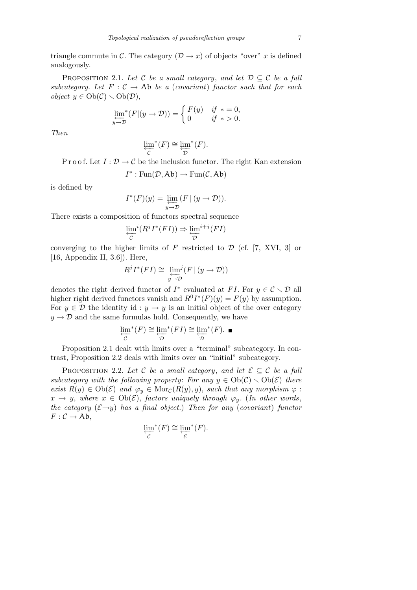triangle commute in *C*. The category  $(D \rightarrow x)$  of objects "over" *x* is defined analogously.

PROPOSITION 2.1. Let C be a small category, and let  $\mathcal{D} \subseteq \mathcal{C}$  be a full *subcategory.* Let  $F: C \to Ab$  *be a* (*covariant*) *functor such that for each object*  $y \in Ob(\mathcal{C}) \setminus Ob(\mathcal{D}),$ 

$$
\lim_{y \to \mathcal{D}}^* (F|(y \to \mathcal{D})) = \begin{cases} F(y) & \text{if } * = 0, \\ 0 & \text{if } * > 0. \end{cases}
$$

*Then*

$$
\varprojlim_{\mathcal{C}}^*(F) \cong \varprojlim_{\mathcal{D}}^*(F).
$$

P r o o f. Let  $I: \mathcal{D} \to \mathcal{C}$  be the inclusion functor. The right Kan extension

$$
I^*: \operatorname{Fun}(\mathcal{D}, \mathsf{Ab}) \to \operatorname{Fun}(\mathcal{C}, \mathsf{Ab})
$$

is defined by

$$
I^*(F)(y) = \varprojlim_{y \to \mathcal{D}} (F \mid (y \to \mathcal{D})).
$$

There exists a composition of functors spectral sequence

$$
\varprojlim_{\mathcal{C}}^{i}(R^{j}I^{*}(FI)) \Rightarrow \varprojlim_{\mathcal{D}}^{i+j}(FI)
$$

converging to the higher limits of  $F$  restricted to  $D$  (cf. [7, XVI, 3] or [16, Appendix II, 3.6]). Here,

$$
R^{j}I^{*}(FI) \cong \varprojlim_{y \to \mathcal{D}}^{j}(F \mid (y \to \mathcal{D}))
$$

denotes the right derived functor of  $I^*$  evaluated at  $FI$ . For  $y \in C \setminus D$  all higher right derived functors vanish and  $R^0I^*(F)(y) = F(y)$  by assumption. For  $y \in \mathcal{D}$  the identity id :  $y \to y$  is an initial object of the over category  $y \rightarrow \mathcal{D}$  and the same formulas hold. Consequently, we have

$$
\varprojlim_{\mathcal{C}}^*(F) \cong \varprojlim_{\mathcal{D}}^*(FI) \cong \varprojlim_{\mathcal{D}}^*(F). \ \blacksquare
$$

Proposition 2.1 dealt with limits over a "terminal" subcategory. In contrast, Proposition 2.2 deals with limits over an "initial" subcategory.

PROPOSITION 2.2. Let C be a small category, and let  $\mathcal{E} \subseteq \mathcal{C}$  be a full *subcategory with the following property: For any*  $y \in Ob(\mathcal{C}) \setminus Ob(\mathcal{E})$  *there exist*  $R(y) \in \text{Ob}(\mathcal{E})$  *and*  $\varphi_y \in \text{Mor}_{\mathcal{C}}(R(y), y)$ , *such that any morphism*  $\varphi$ :  $x \to y$ , where  $x \in Ob(\mathcal{E})$ , factors uniquely through  $\varphi_y$ . (*In other words*, *the category*  $(\mathcal{E} \rightarrow y)$  *has a final object.*) *Then for any* (*covariant*) *functor*  $F: \mathcal{C} \to \mathrm{Ab},$ 

$$
\varprojlim_{\mathcal{C}}^*(F) \cong \varprojlim_{\mathcal{E}}^*(F).
$$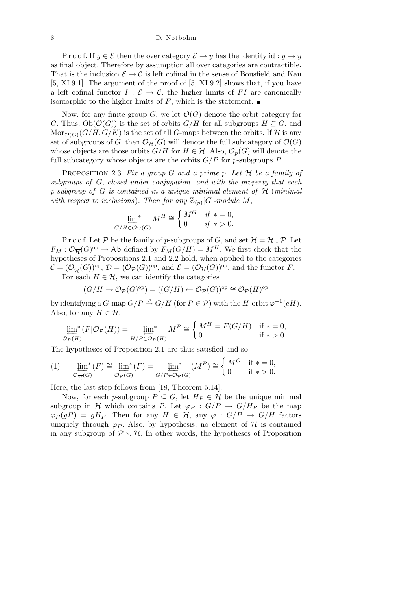P r o o f. If  $y \in \mathcal{E}$  then the over category  $\mathcal{E} \to y$  has the identity id :  $y \to y$ as final object. Therefore by assumption all over categories are contractible. That is the inclusion  $\mathcal{E} \to \mathcal{C}$  is left cofinal in the sense of Bousfield and Kan [5, XI.9.1]. The argument of the proof of [5, XI.9.2] shows that, if you have a left cofinal functor  $I : \mathcal{E} \to \mathcal{C}$ , the higher limits of FI are canonically isomorphic to the higher limits of  $F$ , which is the statement.

Now, for any finite group  $G$ , we let  $\mathcal{O}(G)$  denote the orbit category for *G*. Thus,  $Ob(\mathcal{O}(G))$  is the set of orbits  $G/H$  for all subgroups  $H \subseteq G$ , and  $\text{Mor}_{\mathcal{O}(G)}(G/H, G/K)$  is the set of all *G*-maps between the orbits. If H is any set of subgroups of *G*, then  $\mathcal{O}_{\mathcal{H}}(G)$  will denote the full subcategory of  $\mathcal{O}(G)$ whose objects are those orbits  $G/H$  for  $H \in \mathcal{H}$ . Also,  $\mathcal{O}_p(G)$  will denote the full subcategory whose objects are the orbits *G/P* for *p*-subgroups *P*.

Proposition 2.3. *Fix a group G and a prime p. Let H be a family of subgroups of G*, *closed under conjugation*, *and with the property that each p-subgroup of G is contained in a unique minimal element of H* (*minimal* with respect to inclusions). Then for any  $\mathbb{Z}_{(p)}[G]$ -module M,

$$
\lim_{G/H \in \mathcal{O}_{\mathcal{H}}(G)} M^H \cong \begin{cases} M^G & \text{if } * = 0, \\ 0 & \text{if } * > 0. \end{cases}
$$

P r o o f. Let P be the family of p-subgroups of *G*, and set  $\overline{\mathcal{H}} = \mathcal{H} \cup \mathcal{P}$ . Let  $F_M: \mathcal{O}_{\overline{\mathcal{H}}}(G)^\text{op} \to \text{Ab}$  defined by  $F_M(G/H) = M^H$ . We first check that the hypotheses of Propositions 2.1 and 2.2 hold, when applied to the categories  $\mathcal{C} = (\mathcal{O}_{\overline{\mathcal{H}}}(G))^{op}, \mathcal{D} = (\mathcal{O}_{\mathcal{P}}(G))^{op}, \text{ and } \mathcal{E} = (\mathcal{O}_{\mathcal{H}}(G))^{op}, \text{ and the functor } F.$ 

For each  $H \in \mathcal{H}$ , we can identify the categories

$$
(G/H \to \mathcal{O}_{\mathcal{P}}(G)^{\rm op}) = ((G/H) \leftarrow \mathcal{O}_{\mathcal{P}}(G))^{\rm op} \cong \mathcal{O}_{\mathcal{P}}(H)^{\rm op}
$$

by identifying a  $G$ -map  $G/P \stackrel{\varphi}{\rightarrow} G/H$  (for  $P \in \mathcal{P}$ ) with the *H*-orbit  $\varphi^{-1}(eH)$ . Also, for any  $H \in \mathcal{H}$ ,  $\overline{a}$ 

$$
\lim_{\mathcal{O}_{\mathcal{P}}(H)} (F|\mathcal{O}_{\mathcal{P}}(H)) = \lim_{H/P \in \mathcal{O}_{\mathcal{P}}(H)} M^P \cong \begin{cases} M^H = F(G/H) & \text{if } * = 0, \\ 0 & \text{if } * > 0. \end{cases}
$$

The hypotheses of Proposition 2.1 are thus satisfied and so  $\overline{\phantom{a}}$ 

$$
(1) \qquad \lim_{\mathcal{O}_{\overline{H}}(G)}^*(F) \cong \lim_{\mathcal{O}_{\overline{P}}(G)}^*(F) = \lim_{\substack{G/P \in \mathcal{O}_{\overline{P}}(G)}}^*(M^P) \cong \begin{cases} M^G & \text{if } * = 0, \\ 0 & \text{if } * > 0. \end{cases}
$$

Here, the last step follows from [18, Theorem 5.14].

Now, for each *p*-subgroup  $P \subseteq G$ , let  $H_P \in \mathcal{H}$  be the unique minimal subgroup in *H* which contains *P*. Let  $\varphi_P$  :  $G/P \to G/H_P$  be the map  $\varphi_P(gP) = gH_P$ . Then for any  $H \in \mathcal{H}$ , any  $\varphi : G/P \to G/H$  factors uniquely through  $\varphi_P$ . Also, by hypothesis, no element of *H* is contained in any subgroup of  $P \setminus H$ . In other words, the hypotheses of Proposition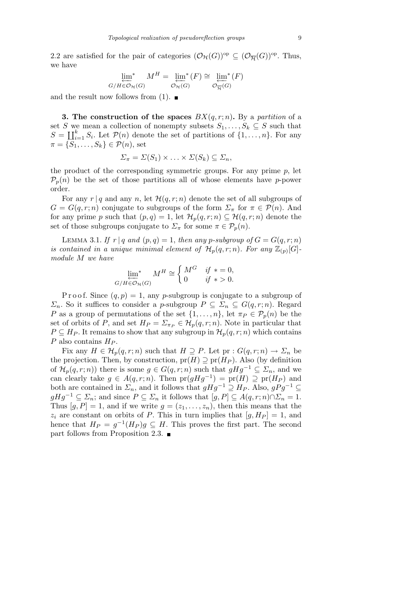2.2 are satisfied for the pair of categories  $(\mathcal{O}_{\mathcal{H}}(G))^{op} \subseteq (\mathcal{O}_{\overline{\mathcal{H}}}(G))^{op}$ . Thus, we have

$$
\lim_{G/H \in \mathcal{O}_{\mathcal{H}}(G)} M^H = \lim_{\mathcal{O}_{\mathcal{H}}(G)} (F) \cong \lim_{\mathcal{O}_{\overline{\mathcal{H}}}(G)} (F)
$$

and the result now follows from (1).  $\blacksquare$ 

**3. The construction of the spaces**  $BX(q, r; n)$ . By a partition of a set *S* we mean a collection of nonempty subsets  $S_1, \ldots, S_k \subseteq S$  such that  $S = \coprod_{i=1}^{k} S_i$ . Let  $\mathcal{P}(n)$  denote the set of partitions of  $\{1, \ldots, n\}$ . For any  $\pi = \{S_1, \ldots, S_k\} \in \mathcal{P}(n)$ , set

$$
\Sigma_{\pi} = \Sigma(S_1) \times \ldots \times \Sigma(S_k) \subseteq \Sigma_n,
$$

the product of the corresponding symmetric groups. For any prime *p*, let  $P_p(n)$  be the set of those partitions all of whose elements have *p*-power order.

For any  $r | q$  and any *n*, let  $\mathcal{H}(q, r; n)$  denote the set of all subgroups of *G* = *G*(*q, r*; *n*) conjugate to subgroups of the form  $\Sigma_{\pi}$  for  $\pi \in \mathcal{P}(n)$ . And for any prime *p* such that  $(p, q) = 1$ , let  $\mathcal{H}_p(q, r; n) \subseteq \mathcal{H}(q, r; n)$  denote the set of those subgroups conjugate to  $\Sigma_{\pi}$  for some  $\pi \in \mathcal{P}_p(n)$ .

LEMMA 3.1. *If*  $r | q$  *and*  $(p, q) = 1$ , *then any p*-subgroup of  $G = G(q, r; n)$ *is contained in a unique minimal element of*  $\mathcal{H}_p(q,r;n)$ *. For any*  $\mathbb{Z}_{(p)}[G]$ *module M we have*  $\overline{a}$ 

$$
\lim_{G/H \in \mathcal{O}_{\mathcal{H}}(G)} M^H \cong \begin{cases} M^G & \text{if } * = 0, \\ 0 & \text{if } * > 0. \end{cases}
$$

P r o o f. Since  $(q, p) = 1$ , any *p*-subgroup is conjugate to a subgroup of *Σ*<sub>*n*</sub>. So it suffices to consider a *p*-subgroup  $P \subseteq \Sigma_n \subseteq G(q,r;n)$ . Regard *P* as a group of permutations of the set  $\{1, \ldots, n\}$ , let  $\pi_P \in \mathcal{P}_p(n)$  be the set of orbits of *P*, and set  $H_P = \Sigma_{\pi_P} \in \mathcal{H}_p(q,r;n)$ . Note in particular that  $P \subseteq H_P$ . It remains to show that any subgroup in  $\mathcal{H}_p(q,r;n)$  which contains *P* also contains *H<sup>P</sup>* .

Fix any  $H \in \mathcal{H}_p(q,r;n)$  such that  $H \supseteq P$ . Let  $pr : G(q,r;n) \to \Sigma_n$  be the projection. Then, by construction,  $pr(H) \supseteq pr(H_P)$ . Also (by definition of  $\mathcal{H}_p(q,r;n)$  there is some  $g \in G(q,r;n)$  such that  $gHg^{-1} \subseteq \mathcal{Z}_n$ , and we can clearly take  $g \in A(q, r; n)$ . Then  $pr(gHg^{-1}) = pr(H) \supseteq pr(H_P)$  and both are contained in  $\Sigma_n$ , and it follows that  $gHg^{-1} \supseteq H_P$ . Also,  $gPg^{-1} \subseteq$  $gHg^{-1} \subseteq \Sigma_n$ ; and since  $P \subseteq \Sigma_n$  it follows that  $[g, P] \subseteq A(q, r; n) \cap \Sigma_n = 1$ . Thus  $[g, P] = 1$ , and if we write  $g = (z_1, \ldots, z_n)$ , then this means that the  $z_i$  are constant on orbits of *P*. This in turn implies that  $[g, H_P] = 1$ , and hence that  $H_P = g^{-1}(H_P)g \subseteq H$ . This proves the first part. The second part follows from Proposition 2.3.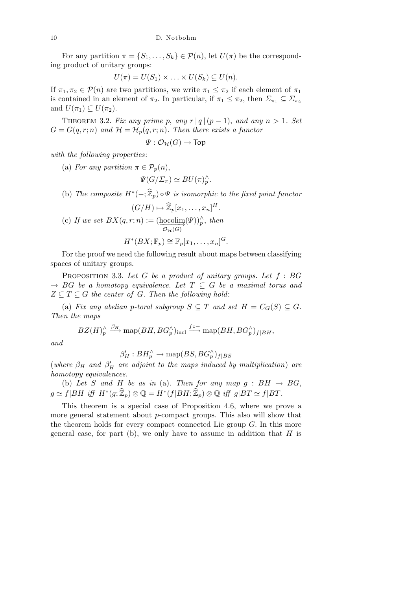For any partition  $\pi = \{S_1, \ldots, S_k\} \in \mathcal{P}(n)$ , let  $U(\pi)$  be the corresponding product of unitary groups:

$$
U(\pi) = U(S_1) \times \ldots \times U(S_k) \subseteq U(n).
$$

If  $\pi_1, \pi_2 \in \mathcal{P}(n)$  are two partitions, we write  $\pi_1 \leq \pi_2$  if each element of  $\pi_1$ is contained in an element of  $\pi_2$ . In particular, if  $\pi_1 \leq \pi_2$ , then  $\Sigma_{\pi_1} \subseteq \Sigma_{\pi_2}$ and  $U(\pi_1) \subseteq U(\pi_2)$ .

THEOREM 3.2. *Fix any prime p, any*  $r |q|(p-1)$ *, and any*  $n > 1$ *. Set*  $G = G(q, r; n)$  *and*  $\mathcal{H} = \mathcal{H}_p(q, r; n)$ *. Then there exists a functor* 

$$
\Psi: \mathcal{O}_{\mathcal{H}}(G) \to \text{Top}
$$

*with the following properties*:

(a) *For any partition*  $\pi \in \mathcal{P}_p(n)$ ,

$$
\Psi(G/\Sigma_{\pi}) \simeq BU(\pi)^{\wedge}_{p}.
$$

(b) *The composite*  $H^*(-; \widehat{\mathbb{Z}}_p) \circ \Psi$  *is isomorphic to the fixed point functor* 

(c) If we set 
$$
BX(q, r; n) := (\operatorname{hocolim}_{\mathcal{P}}(\Psi))^{\wedge}_{p}
$$
, then  
\n
$$
H^*(BX; \mathbb{F}_p) \cong \mathbb{F}_p[x_1, \dots, x_n]^G.
$$

For the proof we need the following result about maps between classifying spaces of unitary groups.

Proposition 3.3. *Let G be a product of unitary groups. Let f* : *BG*  $\rightarrow$  *BG be a homotopy equivalence. Let*  $T \subseteq G$  *be a maximal torus and*  $Z \subseteq T \subseteq G$  *the center of*  $G$ *. Then the following hold:* 

(a) *Fix any abelian p-toral subgroup*  $S \subseteq T$  *and set*  $H = C_G(S) \subseteq G$ *. Then the maps*

$$
BZ(H)^{\wedge}_{p} \xrightarrow{\beta_{H}} \text{map}(BH, BG_p^{\wedge})_{\text{incl}} \xrightarrow{f \circ -} \text{map}(BH, BG_p^{\wedge})_{f|BH},
$$

*and*

$$
\beta'_H : BH_p^{\wedge} \to \text{map}(BS, BG_p^{\wedge})_{f|BS}
$$

(*where*  $\beta_H$  *and*  $\beta'_H$  *are adjoint to the maps induced by multiplication*) *are homotopy equivalences.*

(b) Let *S* and *H* be as in (a). Then for any map  $g : BH \rightarrow BG$ ,  $g \simeq f|BH \text{ iff } H^*(g;\widehat{\mathbb{Z}}_p) \otimes \mathbb{Q} = H^*(f|BH;\widehat{\mathbb{Z}}_p) \otimes \mathbb{Q} \text{ iff } g|BT \simeq f|BT.$ 

This theorem is a special case of Proposition 4.6, where we prove a more general statement about *p*-compact groups. This also will show that the theorem holds for every compact connected Lie group *G*. In this more general case, for part (b), we only have to assume in addition that *H* is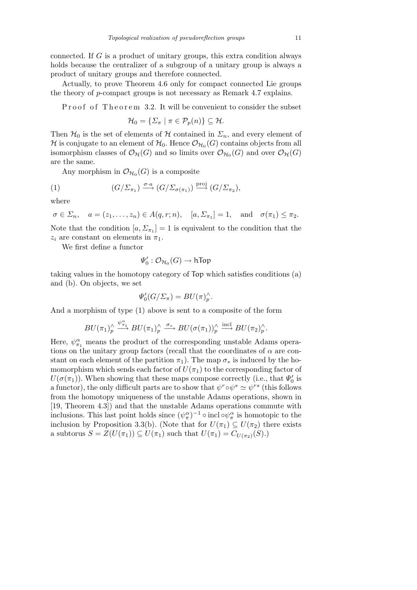connected. If *G* is a product of unitary groups, this extra condition always holds because the centralizer of a subgroup of a unitary group is always a product of unitary groups and therefore connected.

Actually, to prove Theorem 4.6 only for compact connected Lie groups the theory of *p*-compact groups is not necessary as Remark 4.7 explains.

P roof of Theorem 3.2. It will be convenient to consider the subset

$$
\mathcal{H}_0 = \{ \Sigma_\pi \mid \pi \in \mathcal{P}_p(n) \} \subseteq \mathcal{H}.
$$

Then  $\mathcal{H}_0$  is the set of elements of  $\mathcal H$  contained in  $\mathcal L_n$ , and every element of  ${\cal H}$  is conjugate to an element of  ${\cal H}_0.$  Hence  ${\cal O}_{{\cal H}_0}(G)$  contains objects from all isomorphism classes of  $\mathcal{O}_{\mathcal{H}}(G)$  and so limits over  $\mathcal{O}_{\mathcal{H}_0}(G)$  and over  $\mathcal{O}_{\mathcal{H}}(G)$ are the same.

Any morphism in  $\mathcal{O}_{\mathcal{H}_0}(G)$  is a composite

(1) 
$$
(G/\Sigma_{\pi_1}) \xrightarrow{\sigma \cdot a} (G/\Sigma_{\sigma(\pi_1)}) \xrightarrow{\text{proj}} (G/\Sigma_{\pi_2}),
$$

where

$$
\sigma \in \Sigma_n
$$
,  $a = (z_1, \ldots, z_n) \in A(q, r; n)$ ,  $[a, \Sigma_{\pi_1}] = 1$ , and  $\sigma(\pi_1) \le \pi_2$ .

Note that the condition  $[a, \Sigma_{\pi_1}] = 1$  is equivalent to the condition that the  $z_i$  are constant on elements in  $\pi_1$ .

We first define a functor

$$
\varPsi_0':\mathcal O_{\mathcal H_0}(G)\to\mathsf{hTop}
$$

taking values in the homotopy category of Top which satisfies conditions (a) and (b). On objects, we set

$$
\Psi_0'(G/\Sigma_{\pi}) = BU(\pi)^{\wedge}_p.
$$

And a morphism of type (1) above is sent to a composite of the form

$$
BU(\pi_1)_p^{\wedge} \stackrel{\psi_{\pi_1}^{\alpha}}{\longrightarrow} BU(\pi_1)_p^{\wedge} \stackrel{\sigma_*}{\longrightarrow} BU(\sigma(\pi_1))_p^{\wedge} \stackrel{\text{incl}}{\longrightarrow} BU(\pi_2)_p^{\wedge}.
$$

Here,  $\psi_{\pi_1}^{\alpha}$  means the product of the corresponding unstable Adams operations on the unitary group factors (recall that the coordinates of  $\alpha$  are constant on each element of the partition  $\pi_1$ ). The map  $\sigma_*$  is induced by the homomorphism which sends each factor of  $U(\pi_1)$  to the corresponding factor of  $U(\sigma(\pi_1))$ . When showing that these maps compose correctly (i.e., that  $\Psi_0'$  is a functor), the only difficult parts are to show that  $\psi^r \circ \psi^s \simeq \psi^{rs}$  (this follows from the homotopy uniqueness of the unstable Adams operations, shown in [19, Theorem 4.3]) and that the unstable Adams operations commute with inclusions. This last point holds since  $(\psi_{\pi}^{\alpha})^{-1} \circ \text{incl}\circ \psi_{\pi}^{\alpha}$  is homotopic to the inclusion by Proposition 3.3(b). (Note that for  $U(\pi_1) \subseteq U(\pi_2)$  there exists a subtorus  $S = Z(U(\pi_1)) \subseteq U(\pi_1)$  such that  $U(\pi_1) = C_{U(\pi_2)}(S)$ .)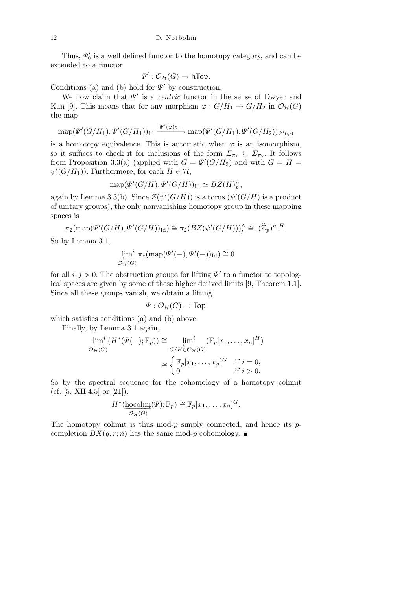Thus,  $\Psi_0'$  is a well defined functor to the homotopy category, and can be extended to a functor

$$
\Psi':\mathcal{O}_{\mathcal{H}}(G)\to \textsf{hTop}.
$$

Conditions (a) and (b) hold for  $\Psi'$  by construction.

We now claim that  $\Psi'$  is a *centric* functor in the sense of Dwyer and Kan [9]. This means that for any morphism  $\varphi: G/H_1 \to G/H_2$  in  $\mathcal{O}_{\mathcal{H}}(G)$ the map

$$
\text{map}(\Psi'(G/H_1), \Psi'(G/H_1))_{\text{Id}} \xrightarrow{\Psi'(\varphi)\circ -} \text{map}(\Psi'(G/H_1), \Psi'(G/H_2))_{\Psi'(\varphi)}
$$

is a homotopy equivalence. This is automatic when  $\varphi$  is an isomorphism, so it suffices to check it for inclusions of the form  $\Sigma_{\pi_1} \subseteq \Sigma_{\pi_2}$ . It follows from Proposition 3.3(a) (applied with  $G = \Psi'(G/H_2)$  and with  $G = H =$  $\psi'(G/H_1)$ ). Furthermore, for each  $H \in \mathcal{H}$ ,

$$
\text{map}(\Psi'(G/H), \Psi'(G/H))_{\text{Id}} \simeq BZ(H)_p^{\wedge},
$$

again by Lemma 3.3(b). Since  $Z(\psi'(G/H))$  is a torus  $(\psi'(G/H))$  is a product of unitary groups), the only nonvanishing homotopy group in these mapping spaces is

$$
\pi_2(\text{map}(\Psi'(G/H), \Psi'(G/H))_{\text{Id}}) \cong \pi_2(BZ(\psi'(G/H)))^\wedge_p \cong [(\widehat{\mathbb{Z}}_p)^n]^H.
$$

So by Lemma 3.1,

$$
\varprojlim_{\mathcal{O}_{\mathcal{H}}(G)}^{i} \pi_j(\text{map}(\Psi'(-), \Psi'(-))_{\text{Id}}) \cong 0
$$

for all  $i, j > 0$ . The obstruction groups for lifting  $\Psi'$  to a functor to topological spaces are given by some of these higher derived limits [9, Theorem 1.1]. Since all these groups vanish, we obtain a lifting

$$
\varPsi: \mathcal{O}_{\mathcal{H}}(G) \rightarrow \mathsf{Top}
$$

which satisfies conditions (a) and (b) above.

Finally, by Lemma 3.1 again,

$$
\lim_{\mathcal{O}_{\mathcal{H}}(G)} (H^*(\Psi(-); \mathbb{F}_p)) \cong \lim_{\substack{G/H \in \mathcal{O}_{\mathcal{H}}(G) \\ \cong \begin{cases} \mathbb{F}_p[x_1, \dots, x_n]^G & \text{if } i = 0, \\ 0 & \text{if } i > 0. \end{cases}}
$$

So by the spectral sequence for the cohomology of a homotopy colimit (cf.  $[5, XII.4.5]$  or  $[21]$ ),

$$
H^*(\underset{\mathcal{O}_{\mathcal{H}}(G)}{\text{hocolim}}(\Psi); \mathbb{F}_p) \cong \mathbb{F}_p[x_1, \ldots, x_n]^G.
$$

The homotopy colimit is thus mod-*p* simply connected, and hence its *p*completion  $BX(q, r; n)$  has the same mod-*p* cohomology.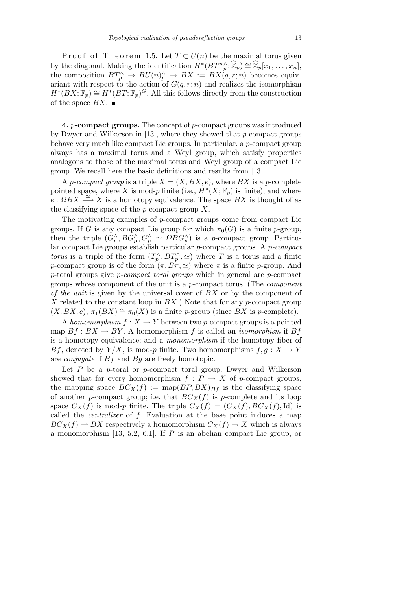Proof of Theorem 1.5. Let  $T \subset U(n)$  be the maximal torus given by the diagonal. Making the identification  $H^*(BT^n_p^{\wedge}; \widehat{\mathbb{Z}}_p) \cong \widehat{\mathbb{Z}}_p[x_1, \ldots, x_n],$ the composition  $BT_p^{\wedge} \rightarrow BU(n)_p^{\wedge} \rightarrow BX := BX(q,r;n)$  becomes equivariant with respect to the action of  $G(q, r; n)$  and realizes the isomorphism  $H^*(BX; \mathbb{F}_p) \cong H^*(BT; \mathbb{F}_p)^G$ . All this follows directly from the construction of the space  $BX$ .

**4.** *p***-compact groups.** The concept of *p*-compact groups was introduced by Dwyer and Wilkerson in [13], where they showed that *p*-compact groups behave very much like compact Lie groups. In particular, a *p*-compact group always has a maximal torus and a Weyl group, which satisfy properties analogous to those of the maximal torus and Weyl group of a compact Lie group. We recall here the basic definitions and results from [13].

A *p*-compact group is a triple  $X = (X, BX, e)$ , where BX is a *p*-complete pointed space, where *X* is mod-*p* finite (i.e.,  $H^*(X; \mathbb{F}_p)$  is finite), and where  $e: \Omega BX \longrightarrow X$  is a homotopy equivalence. The space  $BX$  is thought of as the classifying space of the *p*-compact group *X*.

The motivating examples of *p*-compact groups come from compact Lie groups. If *G* is any compact Lie group for which  $\pi_0(G)$  is a finite *p*-group, then the triple  $(G_p^{\wedge}, BG_p^{\wedge}, G_p^{\wedge} \simeq \Omega BG_p^{\wedge})$  is a *p*-compact group. Particular compact Lie groups establish particular *p*-compact groups. A *p-compact torus* is a triple of the form  $(T_p^{\wedge}, BT_p^{\wedge}, \simeq)$  where *T* is a torus and a finite *p*-compact group is of the form  $(\pi, B\pi, \simeq)$  where  $\pi$  is a finite *p*-group. And *p*-toral groups give *p-compact toral groups* which in general are *p*-compact groups whose component of the unit is a *p*-compact torus. (The *component of the unit* is given by the universal cover of *BX* or by the component of *X* related to the constant loop in *BX*.) Note that for any *p*-compact group  $(X, BX, e), \pi_1(BX) \cong \pi_0(X)$  is a finite *p*-group (since *BX* is *p*-complete).

A *homomorphism*  $f: X \to Y$  between two *p*-compact groups is a pointed map  $Bf : BX \to BY$ . A homomorphism f is called an *isomorphism* if  $Bf$ is a homotopy equivalence; and a *monomorphism* if the homotopy fiber of *Bf*, denoted by  $Y/X$ , is mod-*p* finite. Two homomorphisms  $f, g: X \to Y$ are *conjugate* if *Bf* and *Bg* are freely homotopic.

Let *P* be a *p*-toral or *p*-compact toral group. Dwyer and Wilkerson showed that for every homomorphism  $f : P \to X$  of *p*-compact groups, the mapping space  $BC_X(f) := \text{map}(BP, BX)_{Bf}$  is the classifying space of another *p*-compact group; i.e. that  $BC_X(f)$  is *p*-complete and its loop space  $C_X(f)$  is mod-*p* finite. The triple  $C_X(f) = (C_X(f), BC_X(f), \text{Id})$  is called the *centralizer* of *f*. Evaluation at the base point induces a map  $BC_X(f) \to BX$  respectively a homomorphism  $C_X(f) \to X$  which is always a monomorphism [13, 5.2, 6.1]. If *P* is an abelian compact Lie group, or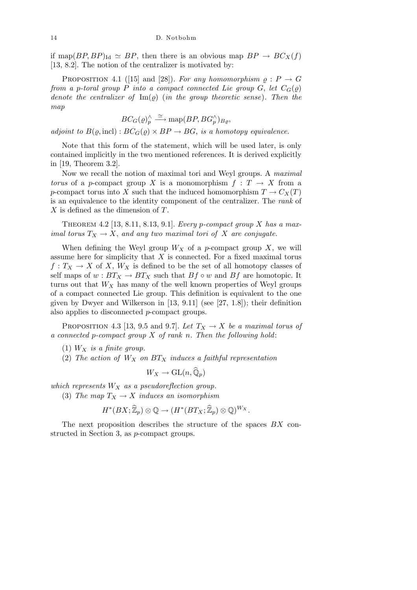if map( $BP, BP$ )<sub>Id</sub>  $\simeq BP$ , then there is an obvious map  $BP \rightarrow BC_X(f)$ [13, 8.2]. The notion of the centralizer is motivated by:

PROPOSITION 4.1 ([15] and [28]). *For any homomorphism*  $\varrho : P \to G$ *from a p-toral group P into a compact connected Lie group G*, *let*  $C_G(\varrho)$ *denote the centralizer of*  $\text{Im}(\rho)$  (*in the group theoretic sense*). Then the *map*

$$
BC_G(\varrho)_p^{\wedge} \stackrel{\simeq}{\longrightarrow} \text{map}(BP, BG_p^{\wedge})_{B_{\varrho}},
$$

*adjoint to*  $B(\varrho, \text{incl})$ :  $BC_G(\varrho) \times BP \rightarrow BG$ , *is a homotopy equivalence.* 

Note that this form of the statement, which will be used later, is only contained implicitly in the two mentioned references. It is derived explicitly in [19, Theorem 3.2].

Now we recall the notion of maximal tori and Weyl groups. A *maximal torus* of a *p*-compact group *X* is a monomorphism  $f: T \rightarrow X$  from a *p*-compact torus into *X* such that the induced homomorphism  $T \to C_X(T)$ is an equivalence to the identity component of the centralizer. The *rank* of *X* is defined as the dimension of *T*.

Theorem 4.2 [13, 8.11, 8.13, 9.1]. *Every p-compact group X has a maximal torus*  $T_X \to X$ , and any two maximal tori of X are conjugate.

When defining the Weyl group  $W_X$  of a *p*-compact group X, we will assume here for simplicity that *X* is connected. For a fixed maximal torus  $f: T_X \to X$  of X,  $W_X$  is defined to be the set of all homotopy classes of self maps of  $w : BT_X \to BT_X$  such that  $Bf \circ w$  and  $Bf$  are homotopic. It turns out that  $W_X$  has many of the well known properties of Weyl groups of a compact connected Lie group. This definition is equivalent to the one given by Dwyer and Wilkerson in [13, 9.11] (see [27, 1.8]); their definition also applies to disconnected *p*-compact groups.

PROPOSITION 4.3 [13, 9.5 and 9.7]. Let  $T_X \to X$  be a maximal torus of *a connected p-compact group X of rank n. Then the following hold*:

- (1) *W<sup>X</sup> is a finite group.*
- (2) *The action of W<sup>X</sup> on BT<sup>X</sup> induces a faithful representation*

$$
W_X \to \mathrm{GL}(n, \widehat{\mathbb{Q}}_p)
$$

*which represents W<sup>X</sup> as a pseudoreflection group.*

(3) *The map*  $T_X \to X$  *induces an isomorphism* 

$$
H^*(BX;\widehat{\mathbb{Z}}_p)\otimes \mathbb{Q}\to (H^*(BT_X;\widehat{\mathbb{Z}}_p)\otimes \mathbb{Q})^{W_X}.
$$

The next proposition describes the structure of the spaces *BX* constructed in Section 3, as *p*-compact groups.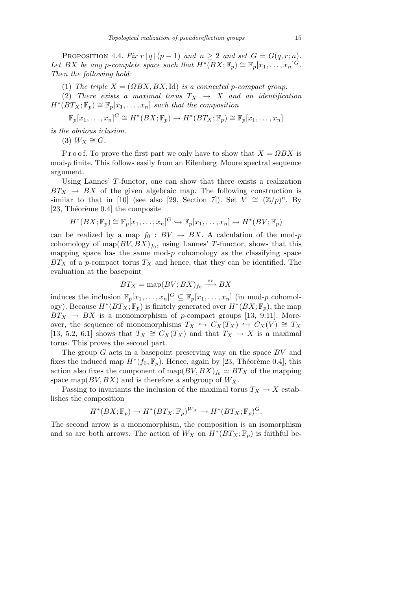PROPOSITION 4.4. *Fix*  $r |q|(p-1)$  *and*  $n \geq 2$  *and set*  $G = G(q, r; n)$ *. Let BX be any p*-complete space such that  $H^*(BX; \mathbb{F}_p) \cong \mathbb{F}_p[x_1, \ldots, x_n]$ <sup> $\dot{G}$ </sup>. *Then the following hold*:

(1) *The triple*  $X = (\Omega BX, BX, Id)$  *is a connected p-compact group.* 

(2) *There exists a maximal torus*  $T_X \rightarrow X$  *and an identification*  $H^*(BT_X; \mathbb{F}_p) \cong \mathbb{F}_p[x_1, \ldots, x_n]$  *such that the composition* 

$$
\mathbb{F}_p[x_1,\ldots,x_n]^G \cong H^*(BX; \mathbb{F}_p) \to H^*(BT_X; \mathbb{F}_p) \cong \mathbb{F}_p[x_1,\ldots,x_n]
$$

*is the obvious iclusion.*

 $(3)$   $W_X \cong G$ *.* 

P r o o f. To prove the first part we only have to show that  $X = \Omega BX$  is mod-*p* finite. This follows easily from an Eilenberg–Moore spectral sequence argument.

Using Lannes' *T*-functor, one can show that there exists a realization  $BT_X \rightarrow BX$  of the given algebraic map. The following construction is similar to that in [10] (see also [29, Section 7]). Set  $\widetilde{V} \cong (\mathbb{Z}/p)^n$ . By [23, Théorème 0.4] the composite

$$
H^*(BX; \mathbb{F}_p) \cong \mathbb{F}_p[x_1, \dots, x_n]^{G} \hookrightarrow \mathbb{F}_p[x_1, \dots, x_n] \to H^*(BV; \mathbb{F}_p)
$$

can be realized by a map  $f_0: BV \to BX$ . A calculation of the mod-*p* cohomology of  $\text{map}(BV, BX)_{f_0}$ , using Lannes' T-functor, shows that this mapping space has the same mod- $p$  cohomology as the classifying space *BT<sup>X</sup>* of a *p*-compact torus *T<sup>X</sup>* and hence, that they can be identified. The evaluation at the basepoint

$$
BT_X = \text{map}(BV; BX)_{f_0} \xrightarrow{\text{ev}} BX
$$

induces the inclusion  $\mathbb{F}_p[x_1,\ldots,x_n]$ <sup>*G*</sup>  $\subseteq \mathbb{F}_p[x_1,\ldots,x_n]$  (in mod-*p* cohomology). Because  $H^*(BT_X; \mathbb{F}_p)$  is finitely generated over  $H^*(BX; \mathbb{F}_p)$ , the map  $BT_X \rightarrow BX$  is a monomorphism of *p*-compact groups [13, 9.11]. Moreover, the sequence of monomorphisms  $T_X \hookrightarrow C_X(T_X) \hookrightarrow C_X(V) \cong T_X$ [13, 5.2, 6.1] shows that  $T_X \cong C_X(T_X)$  and that  $T_X \to X$  is a maximal torus. This proves the second part.

The group *G* acts in a basepoint preserving way on the space *BV* and fixes the induced map  $H^*(f_0; \mathbb{F}_p)$ . Hence, again by [23, Théorème 0.4], this action also fixes the component of map( $BV, BX$ )<sub>f0</sub>  $\simeq BT_X$  of the mapping space map( $BV, BX$ ) and is therefore a subgroup of  $W_X$ .

Passing to invariants the inclusion of the maximal torus  $T_X \to X$  establishes the composition

$$
H^*(BX; \mathbb{F}_p) \to H^*(BT_X; \mathbb{F}_p)^{W_X} \to H^*(BT_X; \mathbb{F}_p)^G.
$$

The second arrow is a monomorphism, the composition is an isomorphism and so are both arrows. The action of  $W_X$  on  $H^*(BT_X; \mathbb{F}_p)$  is faithful be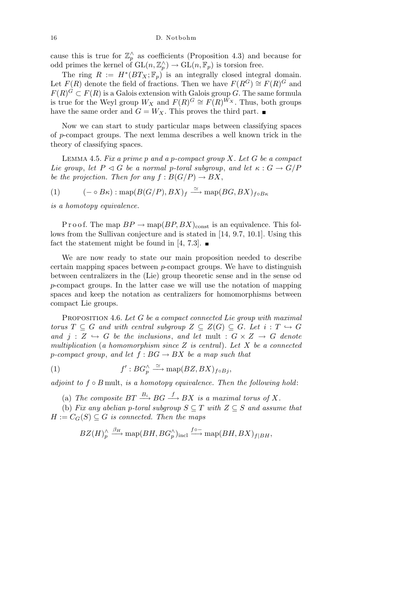cause this is true for  $\mathbb{Z}_p^{\wedge}$  as coefficients (Proposition 4.3) and because for odd primes the kernel of  $GL(n, \mathbb{Z}_p^{\wedge}) \to GL(n, \mathbb{F}_p)$  is torsion free.

The ring  $R := H^*(BT_X; \mathbb{F}_p)$  is an integrally closed integral domain. Let  $F(R)$  denote the field of fractions. Then we have  $F(R^G) \cong F(R)^G$  and  $F(R)^G \subset F(R)$  is a Galois extension with Galois group *G*. The same formula is true for the Weyl group  $W_X$  and  $F(R)^G \cong F(R)^{\tilde{W}_X}$ . Thus, both groups have the same order and  $G = W_X$ . This proves the third part.

Now we can start to study particular maps between classifying spaces of *p*-compact groups. The next lemma describes a well known trick in the theory of classifying spaces.

Lemma 4.5. *Fix a prime p and a p-compact group X. Let G be a compact Lie group*, *let*  $P \triangleleft G$  *be a normal p-toral subgroup*, *and let*  $\kappa : G \rightarrow G/P$ *be the projection. Then for any*  $f : B(G/P) \to BX$ ,

(1) 
$$
(-\circ B\kappa): \text{map}(B(G/P), BX)_f \xrightarrow{\simeq} \text{map}(BG, BX)_{f\circ B\kappa}
$$

*is a homotopy equivalence.*

P r o o f. The map  $BP \to \text{map}(BP, BX)_{\text{const}}$  is an equivalence. This follows from the Sullivan conjecture and is stated in [14, 9.7, 10.1]. Using this fact the statement might be found in [4, 7.3].  $\blacksquare$ 

We are now ready to state our main proposition needed to describe certain mapping spaces between *p*-compact groups. We have to distinguish between centralizers in the (Lie) group theoretic sense and in the sense od *p*-compact groups. In the latter case we will use the notation of mapping spaces and keep the notation as centralizers for homomorphisms between compact Lie groups.

Proposition 4.6. *Let G be a compact connected Lie group with maximal torus*  $T \subseteq G$  *and with central subgroup*  $Z \subseteq Z(G) \subseteq G$ *. Let*  $i : T \hookrightarrow G$ *and*  $j: Z \hookrightarrow G$  *be the inclusions, and let* mult  $: G \times Z \rightarrow G$  *denote multiplication* (*a homomorphism since Z is central*)*. Let X be a connected p*-compact group, and let  $f : BG \to BX$  be a map such that

(1) 
$$
f':BG_p^{\wedge} \xrightarrow{\simeq} \text{map}(BZ, BX)_{f\circ Bj},
$$

*adjoint to f ◦ B* mult, *is a homotopy equivalence. Then the following hold*:

(a) The composite  $BT \xrightarrow{B_i} BG \xrightarrow{f} BX$  is a maximal torus of X.

(b) *Fix any abelian p-toral subgroup*  $S \subseteq T$  *with*  $Z \subseteq S$  *and assume that*  $H := C_G(S) \subseteq G$  *is connected. Then the maps* 

$$
BZ(H)^\wedge_p \xrightarrow{\beta_H} \text{map}(BH, BG_p^\wedge)_{\text{incl}} \xrightarrow{f \circ -} \text{map}(BH, BX)_{f|BH},
$$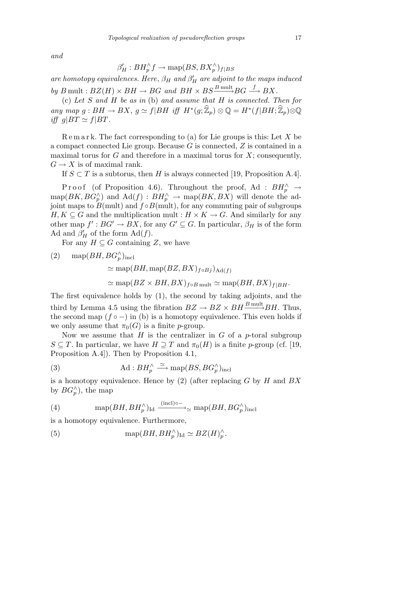*and*

$$
\beta'_H : BH_p^{\wedge} f \to \text{map}(BS, BX_p^{\wedge})_{f|BS}
$$

*are homotopy equivalences. Here,*  $\beta_H$  *and*  $\beta'_H$  *are adjoint to the maps induced*  $by B \text{ mult}: BZ(H) \times BH \rightarrow BG \text{ and } BH \times BS \xrightarrow{B \text{ mult}} BG \xrightarrow{f} BX.$ 

(c) *Let S and H be as in* (b) *and assume that H is connected. Then for* any map  $g: BH \to BX$ ,  $g \simeq f|BH$  iff  $H^*(g; \widehat{\mathbb{Z}}_p) \otimes \mathbb{Q} = H^*(f|BH; \widehat{\mathbb{Z}}_p) \otimes \mathbb{Q}$ *iff*  $g|BT \simeq f|BT$ .

R e m a r k. The fact corresponding to (a) for Lie groups is this: Let *X* be a compact connected Lie group. Because *G* is connected, *Z* is contained in a maximal torus for *G* and therefore in a maximal torus for *X*; consequently,  $G \to X$  is of maximal rank.

If  $S \subset T$  is a subtorus, then *H* is always connected [19, Proposition A.4].

Proof (of Proposition 4.6). Throughout the proof, Ad :  $BH_p^{\wedge} \rightarrow$  $map(BK, BG_p^{\wedge})$  and  $\text{Ad}(f) : BH_p^{\wedge} \to \text{map}(BK, BX)$  will denote the adjoint maps to  $B$ (mult) and  $f \circ B$ (mult), for any commuting pair of subgroups *H, K*  $\subseteq$  *G* and the multiplication mult : *H*  $\times$  *K*  $\rightarrow$  *G*. And similarly for any other map  $f' : BG' \to BX$ , for any  $G' \subseteq G$ . In particular,  $\beta_H$  is of the form Ad and  $\beta'_{H}$  of the form  $\text{Ad}(f)$ .

For any  $H \subseteq G$  containing  $Z$ , we have

(2) map $(BH, BG_p^{\wedge})_{\text{incl}}$  $\simeq$  map( $BH$ , map( $BZ$ ,  $BX$ )<sub> $f \circ Bj$ </sub>)<sub>Ad( $f$ )</sub>  $\simeq$  map( $BZ \times BH, BX$ )<sub> $f \circ B$  mult  $\simeq$  map( $BH, BX$ )<sub> $f|BH$ </sub>.</sub>

The first equivalence holds by (1), the second by taking adjoints, and the third by Lemma 4.5 using the fibration  $BZ \to BZ \times BH \xrightarrow{B \text{ mult}} BH$ . Thus, the second map  $(f \circ -)$  in (b) is a homotopy equivalence. This even holds if we only assume that  $\pi_0(G)$  is a finite *p*-group.

Now we assume that *H* is the centralizer in *G* of a *p*-toral subgroup *S* ⊆ *T*. In particular, we have  $H \supseteq T$  and  $\pi_0(H)$  is a finite *p*-group (cf. [19, Proposition A.4]). Then by Proposition 4.1,

(3) 
$$
\text{Ad}: BH_p^{\wedge} \xrightarrow{\simeq} \text{map}(BS, BG_p^{\wedge})_{\text{incl}}
$$

is a homotopy equivalence. Hence by (2) (after replacing *G* by *H* and *BX* by  $BG_p^{\wedge}$ ), the map

(4) 
$$
\text{map}(BH, BH_p^{\wedge})_{\text{Id}} \xrightarrow{\text{(incl)} \circ \xrightarrow{\ }}_{\simeq} \text{map}(BH, BG_p^{\wedge})_{\text{incl}}
$$

is a homotopy equivalence. Furthermore,

(5) 
$$
\text{map}(BH, BH_p^{\wedge})_{\text{Id}} \simeq BZ(H)_p^{\wedge}.
$$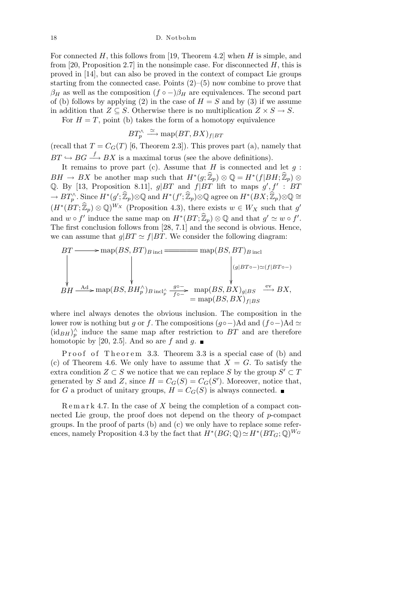18 D. Notbohm

For connected *H*, this follows from [19, Theorem 4.2] when *H* is simple, and from [20, Proposition 2.7] in the nonsimple case. For disconnected *H*, this is proved in [14], but can also be proved in the context of compact Lie groups starting from the connected case. Points  $(2)$ – $(5)$  now combine to prove that  $\beta_H$  as well as the composition  $(f \circ -)\beta_H$  are equivalences. The second part of (b) follows by applying (2) in the case of  $H = S$  and by (3) if we assume in addition that  $Z \subseteq S$ . Otherwise there is no multiplication  $Z \times S \to S$ .

For  $H = T$ , point (b) takes the form of a homotopy equivalence

$$
BT_p^{\wedge} \xrightarrow{\simeq} \text{map}(BT, BX)_{f|BT}
$$

(recall that  $T = C_G(T)$  [6, Theorem 2.3]). This proves part (a), namely that  $BT \hookrightarrow BG \xrightarrow{f} BX$  is a maximal torus (see the above definitions).

It remains to prove part (c). Assume that  $H$  is connected and let  $q$ :  $BH \rightarrow BX$  be another map such that  $H^*(g; \hat{\mathbb{Z}}_p) \otimes \mathbb{Q} = H^*(f|BH; \hat{\mathbb{Z}}_p) \otimes$ Q. By [13, Proposition 8.11],  $g|BT$  and  $f|BT$  lift to maps  $g', f' : BT$  $\rightarrow BT_{p}^{\wedge}.$  Since  $H^{*}(g';\widehat{\mathbb{Z}}_{p})\otimes\mathbb{Q}$  and  $H^{*}(f';\widehat{\mathbb{Z}}_{p})\otimes\mathbb{Q}$  agree on  $H^{*}(BX;\widehat{\mathbb{Z}}_{p})\otimes\mathbb{Q}\cong$  $(H^*(BT;\mathbb{Z}_p) \otimes \mathbb{Q})^{W_X}$  (Proposition 4.3), there exists  $w \in W_X$  such that g' and  $w \circ f'$  induce the same map on  $H^*(BT;\mathbb{Z}_p) \otimes \mathbb{Q}$  and that  $g' \simeq w \circ f'$ . The first conclusion follows from [28, 7.1] and the second is obvious. Hence, we can assume that  $g|BT \simeq f|BT$ . We consider the following diagram:

$$
BT \longrightarrow \text{map}(BS, BT)_{B \text{ incl}} \longrightarrow \text{map}(BS, BT)_{B \text{ incl}}
$$
\n
$$
BH \xrightarrow{Ad}{} \text{map}(BS, BH_p^{\wedge})_{B \text{ incl}_p^{\wedge}} \xrightarrow{g \circ -} \text{map}(BS, BX)_{g|BS} \xrightarrow{\text{ev}} BX,
$$
\n
$$
= \text{map}(BS, BX)_{f|BS}
$$
\n
$$
= \text{map}(BS, BX)_{f|BS}
$$

where incl always denotes the obvious inclusion. The composition in the lower row is nothing but *g* or *f*. The compositions  $(g \circ -)$ Ad and  $(f \circ -)$ Ad  $\simeq$  $(\mathrm{id}_{BH})^{\wedge}_{p}$  induce the same map after restriction to *BT* and are therefore homotopic by [20, 2.5]. And so are f and g.  $\blacksquare$ 

Proof of Theorem 3.3. Theorem 3.3 is a special case of (b) and (c) of Theorem 4.6. We only have to assume that  $X = G$ . To satisfy the extra condition  $Z \subset S$  we notice that we can replace  $S$  by the group  $S' \subset T$ generated by *S* and *Z*, since  $H = C_G(S) = C_G(S')$ . Moreover, notice that, for *G* a product of unitary groups,  $H = C_G(S)$  is always connected.

R e m a r k 4.7. In the case of *X* being the completion of a compact connected Lie group, the proof does not depend on the theory of *p*-compact groups. In the proof of parts (b) and (c) we only have to replace some references, namely Proposition 4.3 by the fact that  $H^*(BG; \mathbb{Q}) \simeq H^*(BT_G; \mathbb{Q})^{W_G}$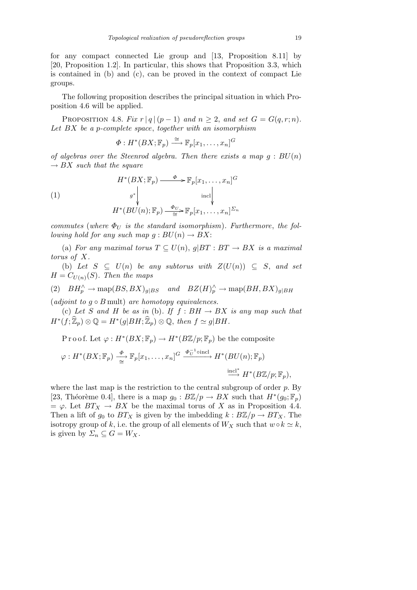for any compact connected Lie group and [13, Proposition 8.11] by [20, Proposition 1.2]. In particular, this shows that Proposition 3.3, which is contained in (b) and (c), can be proved in the context of compact Lie groups.

The following proposition describes the principal situation in which Proposition 4.6 will be applied.

PROPOSITION 4.8. *Fix*  $r |q|(p-1)$  *and*  $n \geq 2$ , *and set*  $G = G(q, r; n)$ . *Let BX be a p-complete space*, *together with an isomorphism*

$$
\Phi: H^*(BX; \mathbb{F}_p) \stackrel{\cong}{\longrightarrow} \mathbb{F}_p[x_1, \dots, x_n]^G
$$

*of algebras over the Steenrod algebra. Then there exists a map g* : *BU*(*n*)  $\rightarrow BX$  *such that the square* 

(1)  

$$
H^*(BX; \mathbb{F}_p) \xrightarrow{\Phi} \mathbb{F}_p[x_1, \dots, x_n]^G
$$

$$
g^* \downarrow \text{incl} \downarrow
$$

$$
H^*(BU(n); \mathbb{F}_p) \xrightarrow{\Phi_U} \mathbb{F}_p[x_1, \dots, x_n]^{Z_n}
$$

*commutes* (where  $\Phi_U$  *is the standard isomorphism*). Furthermore, the fol*lowing hold for any such map*  $g: BU(n) \rightarrow BX$ :

(a) *For any maximal torus*  $T \subseteq U(n)$ ,  $q|BT : BT \rightarrow BX$  *is a maximal torus of X.*

(b) Let  $S \subseteq U(n)$  be any subtorus with  $Z(U(n)) \subseteq S$ , and set  $H = C_{U(n)}(S)$ *. Then the maps* 

(2)  $BH_p^{\wedge} \rightarrow \text{map}(BS, BX)_{g|BS}$  and  $BZ(H)_p^{\wedge} \rightarrow \text{map}(BH, BX)_{g|BH}$  $(adjoint\ to\ g\circ B\ \text{mult})\ are\ homotopy\ equivalences.$ 

(c) Let *S* and *H* be as in (b). If  $f : BH \rightarrow BX$  is any map such that  $H^*(f; \hat{\mathbb{Z}}_p) \otimes \mathbb{Q} = H^*(g|BH; \hat{\mathbb{Z}}_p) \otimes \mathbb{Q}, \text{ then } f \simeq g|BH$ .

Proof. Let  $\varphi: H^*(BX; \mathbb{F}_p) \to H^*(B\mathbb{Z}/p; \mathbb{F}_p)$  be the composite

$$
\varphi: H^*(BX; \mathbb{F}_p) \xrightarrow{\Phi} \mathbb{F}_p[x_1, \dots, x_n]^{G} \xrightarrow{\Phi_U^{-1} \text{oincl}} H^*(BU(n); \mathbb{F}_p)
$$

$$
\xrightarrow{\text{incl}^*} H^*(B\mathbb{Z}/p; \mathbb{F}_p),
$$

where the last map is the restriction to the central subgroup of order *p*. By [23, Théorème 0.4], there is a map  $g_0 : B\mathbb{Z}/p \to BX$  such that  $H^*(g_0; \mathbb{F}_p)$  $=\varphi$ . Let  $BT_X \to BX$  be the maximal torus of X as in Proposition 4.4. Then a lift of  $g_0$  to  $BT_X$  is given by the imbedding  $k: B\mathbb{Z}/p \to BT_X$ . The isotropy group of *k*, i.e. the group of all elements of  $W_X$  such that  $w \circ k \simeq k$ , is given by  $\Sigma_n \subseteq G = W_X$ .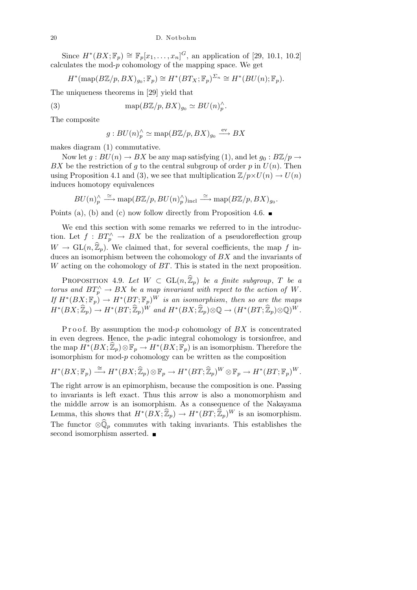Since  $H^*(BX; \mathbb{F}_p) \cong \mathbb{F}_p[x_1, \ldots, x_n]^G$ , an application of [29, 10.1, 10.2] calculates the mod-*p* cohomology of the mapping space. We get

$$
H^*(\mathrm{map}(B\mathbb{Z}/p, BX)_{g_0}; \mathbb{F}_p) \cong H^*(BT_X; \mathbb{F}_p)^{\Sigma_n} \cong H^*(BU(n); \mathbb{F}_p).
$$

The uniqueness theorems in [29] yield that

(3) 
$$
\text{map}(B\mathbb{Z}/p, BX)_{g_0} \simeq BU(n)_{p}^{\wedge}.
$$

The composite

$$
g: BU(n)_{p}^{\wedge} \simeq \text{map}(B\mathbb{Z}/p, BX)_{g_0} \xrightarrow{\text{ev}} BX
$$

makes diagram (1) commutative.

Now let  $g : BU(n) \to BX$  be any map satisfying (1), and let  $g_0 : B\mathbb{Z}/p \to$ *BX* be the restriction of *g* to the central subgroup of order *p* in  $U(n)$ . Then using Proposition 4.1 and (3), we see that multiplication  $\mathbb{Z}/p \times U(n) \rightarrow U(n)$ induces homotopy equivalences

$$
BU(n)_p^{\wedge} \xrightarrow{\simeq} \text{map}(B\mathbb{Z}/p, BU(n)_p^{\wedge})_{\text{incl}} \xrightarrow{\simeq} \text{map}(B\mathbb{Z}/p, BX)_{g_0}.
$$

Points (a), (b) and (c) now follow directly from Proposition 4.6.  $\blacksquare$ 

We end this section with some remarks we referred to in the introduction. Let  $f : BT<sub>p</sub><sup>\wedge</sup> \rightarrow BX$  be the realization of a pseudoreflection group  $W \to GL(n, \mathbb{Z}_p)$ . We claimed that, for several coefficients, the map f induces an isomorphism between the cohomology of *BX* and the invariants of *W* acting on the cohomology of *BT*. This is stated in the next proposition.

PROPOSITION 4.9. Let  $W \subset GL(n, \hat{\mathbb{Z}}_p)$  be a finite subgroup, T be a *torus and*  $BT_p^{\wedge} \to BX$  *be a map invariant with repect to the action of W. If*  $H^*(BX; \mathbb{F}_p) \to H^*(BT; \mathbb{F}_p)^W$  *is an isomorphism, then so are the maps*  $H^*(BX;\widehat{\mathbb{Z}}_p)\to H^*(BT;\widehat{\mathbb{Z}}_p)^W$  and  $H^*(BX;\widehat{\mathbb{Z}}_p)\otimes\mathbb{Q}\to (H^*(BT;\widehat{\mathbb{Z}}_p)\otimes\mathbb{Q})^W$ .

P r o o f. By assumption the mod-p cohomology of BX is concentrated in even degrees. Hence, the *p*-adic integral cohomology is torsionfree, and the map  $H^*(BX;\widehat{\mathbb{Z}}_p)\otimes \mathbb{F}_p \to H^*(BX;\mathbb{F}_p)$  is an isomorphism. Therefore the isomorphism for mod-*p* cohomology can be written as the composition

$$
H^*(BX; \mathbb{F}_p) \stackrel{\cong}{\longrightarrow} H^*(BX; \widehat{\mathbb{Z}}_p) \otimes \mathbb{F}_p \to H^*(BT; \widehat{\mathbb{Z}}_p)^W \otimes \mathbb{F}_p \to H^*(BT; \mathbb{F}_p)^W.
$$

The right arrow is an epimorphism, because the composition is one. Passing to invariants is left exact. Thus this arrow is also a monomorphism and the middle arrow is an isomorphism. As a consequence of the Nakayama Lemma, this shows that  $H^*(BX; \hat{\mathbb{Z}}_p) \to H^*(BT; \hat{\mathbb{Z}}_p)^W$  is an isomorphism. The functor  $\otimes \hat{\mathbb{Q}}_p$  commutes with taking invariants. This establishes the second isomorphism asserted.  $\blacksquare$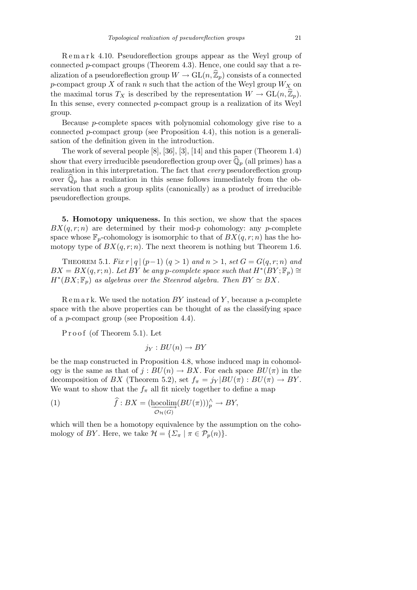Remark 4.10. Pseudoreflection groups appear as the Weyl group of connected *p*-compact groups (Theorem 4.3). Hence, one could say that a realization of a pseudoreflection group  $W \to GL(n, \hat{\mathbb{Z}}_p)$  consists of a connected *p*-compact group *X* of rank *n* such that the action of the Weyl group *W<sup>X</sup>* on the maximal torus  $T_X$  is described by the representation  $W \to GL(n, \mathbb{Z}_p)$ . In this sense, every connected *p*-compact group is a realization of its Weyl group.

Because *p*-complete spaces with polynomial cohomology give rise to a connected *p*-compact group (see Proposition 4.4), this notion is a generalisation of the definition given in the introduction.

The work of several people [8], [36], [3], [14] and this paper (Theorem 1.4) show that every irreducible pseudoreflection group over  $\overline{\mathbb{Q}}_p$  (all primes) has a realization in this interpretation. The fact that *every* pseudoreflection group over  $\hat{\mathbb{Q}}_p$  has a realization in this sense follows immediately from the observation that such a group splits (canonically) as a product of irreducible pseudoreflection groups.

**5. Homotopy uniqueness.** In this section, we show that the spaces  $BX(q, r; n)$  are determined by their mod-*p* cohomology: any *p*-complete space whose  $\mathbb{F}_p$ -cohomology is isomorphic to that of  $BX(q, r; n)$  has the homotopy type of  $BX(q, r; n)$ . The next theorem is nothing but Theorem 1.6.

THEOREM 5.1. *Fix*  $r | q | (p-1) (q>1)$  *and*  $n > 1$ , *set*  $G = G(q, r; n)$  *and*  $BX = BX(q, r; n)$ *. Let*  $BY$  be any *p*-complete space such that  $H^*(BY; \mathbb{F}_p) \cong$  $H^*(BX; \mathbb{F}_p)$  *as algebras over the Steenrod algebra. Then*  $BY \simeq BX$ .

R e m a r k. We used the notation *BY* instead of *Y* , because a *p*-complete space with the above properties can be thought of as the classifying space of a *p*-compact group (see Proposition 4.4).

Proof (of Theorem 5.1). Let

$$
j_Y: BU(n) \to BY
$$

be the map constructed in Proposition 4.8, whose induced map in cohomology is the same as that of  $j : BU(n) \to BX$ . For each space  $BU(\pi)$  in the decomposition of *BX* (Theorem 5.2), set  $f_{\pi} = j_Y|BU(\pi): BU(\pi) \to BY$ . We want to show that the  $f_{\pi}$  all fit nicely together to define a map

(1) 
$$
\widehat{f}: BX = (\underline{\text{hocolim}}(BU(\pi)))_p^{\wedge} \to BY,
$$

which will then be a homotopy equivalence by the assumption on the cohomology of *BY*. Here, we take  $\mathcal{H} = {\sum_{\pi} |\pi \in \mathcal{P}_p(n)}$ .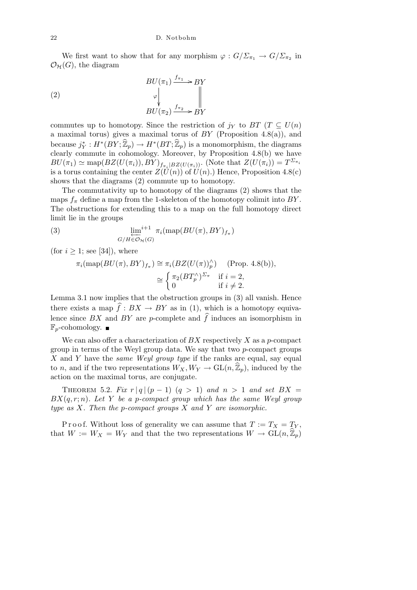We first want to show that for any morphism  $\varphi : G/\Sigma_{\pi_1} \to G/\Sigma_{\pi_2}$  in  $\mathcal{O}_{\mathcal{H}}(G)$ , the diagram

(2) 
$$
BU(\pi_1) \xrightarrow{f_{\pi_1}} BY
$$

$$
\downarrow \qquad \qquad \downarrow \qquad \qquad \parallel
$$

$$
BU(\pi_2) \xrightarrow{f_{\pi_2}} BY
$$

commutes up to homotopy. Since the restriction of  $j<sub>Y</sub>$  to  $BT$  ( $T \subseteq U(n)$ ) a maximal torus) gives a maximal torus of *BY* (Proposition 4.8(a)), and  $\text{because } j_Y^* : H^*(BY; \widehat{\mathbb{Z}}_p) \to H^*(BT; \widehat{\mathbb{Z}}_p)$  is a monomorphism, the diagrams clearly commute in cohomology. Moreover, by Proposition 4.8(b) we have  $BU(\pi_1) \simeq \text{map}(BZ(U(\pi_i)), BY)_{f_{\pi_i}|BZ(U(\pi_i))}$ . (Note that  $Z(U(\pi_i)) = T^{\Sigma_{\pi_i}}$ is a torus containing the center  $Z(\hat{U}(n))$  of  $\hat{U}(n)$ .) Hence, Proposition 4.8(c) shows that the diagrams (2) commute up to homotopy.

The commutativity up to homotopy of the diagrams (2) shows that the maps  $f_{\pi}$  define a map from the 1-skeleton of the homotopy colimit into *BY*. The obstructions for extending this to a map on the full homotopy direct limit lie in the groups

(3) 
$$
\lim_{G/H \in \mathcal{O}_{\mathcal{H}}(G)} i+1 \pi_i(\text{map}(BU(\pi), BY)_{f_{\pi}})
$$

(for  $i \geq 1$ ; see [34]), where

$$
\pi_i(\text{map}(BU(\pi), BY)_{f_{\pi}}) \cong \pi_i(BZ(U(\pi))_p^{\wedge}) \quad \text{(Prop. 4.8(b))},
$$

$$
\cong \begin{cases} \pi_2(BT_p^{\wedge})^{\Sigma_{\pi}} & \text{if } i = 2, \\ 0 & \text{if } i \neq 2. \end{cases}
$$

Lemma 3.1 now implies that the obstruction groups in (3) all vanish. Hence there exists a map  $\hat{f}: BX \to BY$  as in (1), which is a homotopy equivalence since  $BX$  and  $BY$  are *p*-complete and  $\hat{f}$  induces an isomorphism in  $\mathbb{F}_p$ -cohomology.  $\blacksquare$ 

We can also offer a characterization of *BX* respectively *X* as a *p*-compact group in terms of the Weyl group data. We say that two *p*-compact groups *X* and *Y* have the *same Weyl group type* if the ranks are equal, say equal to *n*, and if the two representations  $W_X, W_Y \to GL(n, \mathbb{Z}_p)$ , induced by the action on the maximal torus, are conjugate.

THEOREM 5.2. *Fix*  $r |q|(p-1)(q>1)$  *and*  $n > 1$  *and set*  $BX =$ *BX*(*q, r*; *n*)*. Let Y be a p-compact group which has the same Weyl group type as X. Then the p-compact groups X and Y are isomorphic.*

P r o o f. Without loss of generality we can assume that  $T := T_X = T_Y$ , that  $W := W_X = W_Y$  and that the two representations  $W \to GL(n, \mathbb{Z}_p)$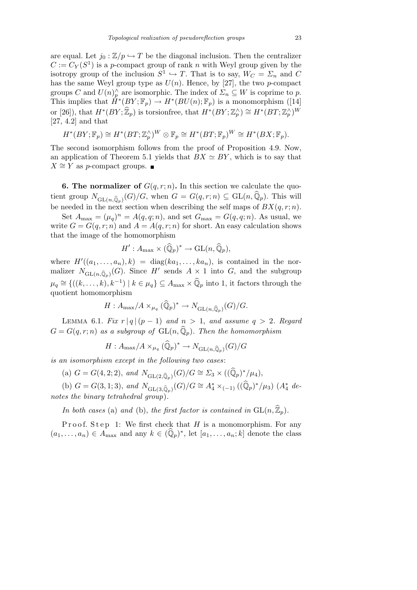are equal. Let  $j_0 : \mathbb{Z}/p \hookrightarrow T$  be the diagonal inclusion. Then the centralizer  $C := C_Y(S^1)$  is a *p*-compact group of rank *n* with Weyl group given by the isotropy group of the inclusion  $S^1 \hookrightarrow T$ . That is to say,  $W_C = \Sigma_n$  and C has the same Weyl group type as  $U(n)$ . Hence, by [27], the two *p*-compact groups *C* and  $U(n)$ <sup> $\wedge$ </sup> are isomorphic. The index of  $\Sigma_n \subseteq W$  is coprime to *p*. This implies that  $\hat{H}^*(BY; \mathbb{F}_p) \to H^*(BU(n); \mathbb{F}_p)$  is a monomorphism ([14] or [26]), that  $H^*(BY; \widehat{\mathbb{Z}}_p)$  is torsionfree, that  $H^*(BY; \mathbb{Z}_p^{\wedge}) \cong H^*(BT; \mathbb{Z}_p^{\wedge})^W$ [27, 4.2] and that

$$
H^*(BY; \mathbb{F}_p) \cong H^*(BT; \mathbb{Z}_p^{\wedge})^W \otimes \mathbb{F}_p \cong H^*(BT; \mathbb{F}_p)^W \cong H^*(BX; \mathbb{F}_p).
$$

The second isomorphism follows from the proof of Proposition 4.9. Now, an application of Theorem 5.1 yields that  $BX \simeq BY$ , which is to say that *X*  $\cong$  *Y* as *p*-compact groups. ■

**6. The normalizer of**  $G(q, r; n)$ . In this section we calculate the quotient group  $N_{\text{GL}(n,\hat{\mathbb{Q}}_p)}(G)/G$ , when  $G = G(q,r;n) \subseteq \text{GL}(n,\hat{\mathbb{Q}}_p)$ . This will be needed in the next section when describing the self maps of  $BX(q, r; n)$ .

Set  $A_{\text{max}} = (\mu_q)^n = A(q, q; n)$ , and set  $G_{\text{max}} = G(q, q; n)$ . As usual, we write  $G = G(q, r; n)$  and  $A = A(q, r; n)$  for short. An easy calculation shows that the image of the homomorphism

$$
H': A_{\max} \times (\widehat{\mathbb{Q}}_p)^* \to \mathrm{GL}(n, \widehat{\mathbb{Q}}_p),
$$

where  $H'((a_1, \ldots, a_n), k) = \text{diag}(ka_1, \ldots, ka_n)$ , is contained in the normalizer  $N_{\mathrm{GL}(n,\widehat{\mathbb{Q}}_p)}(G)$ . Since *H*<sup>*i*</sup> sends  $A \times 1$  into *G*, and the subgroup  $\mu_q \cong \{((k, \ldots, k), k^{-1}) \mid k \in \mu_q\} \subseteq A_{\max} \times \widehat{\mathbb{Q}}_p$  into 1, it factors through the quotient homomorphism

$$
H: A_{\max}/A \times_{\mu_q} (\widehat{\mathbb{Q}}_p)^* \to N_{\mathrm{GL}(n, \widehat{\mathbb{Q}}_p)}(G)/G.
$$

LEMMA 6.1. *Fix*  $r |q|(p-1)$  *and*  $n > 1$ , *and assume*  $q > 2$ *. Regard*  $G = G(q, r; n)$  *as a subgroup of*  $GL(n, \mathbb{Q}_p)$ *. Then the homomorphism* 

$$
H: A_{\text{max}}/A \times_{\mu_q} (\widehat{\mathbb{Q}}_p)^* \to N_{\text{GL}(n, \widehat{\mathbb{Q}}_p)}(G)/G
$$

*is an isomorphism except in the following two cases*:

(a)  $G = G(4, 2; 2)$ , and  $N_{GL(2, \hat{\mathbb{Q}}_p)}(G)/G \cong \Sigma_3 \times ((\hat{\mathbb{Q}}_p)^*/\mu_4)$ ,

(b)  $G = G(3, 1; 3)$ , and  $N_{\text{GL}(3, \hat{\mathbb{Q}}_p)}(G)/G \cong A_4^* \times_{(-1)} ((\hat{\mathbb{Q}}_p)^*/\mu_3)$  ( $A_4^*$  de*notes the binary tetrahedral group*)*.*

*In both cases* (a) *and* (b), *the first factor is contained in*  $GL(n,\hat{\mathbb{Z}}_p)$ *.* 

Proof. Step 1: We first check that *H* is a monomorphism. For any  $(a_1, \ldots, a_n) \in A_{\text{max}}$  and any  $k \in (\widehat{\mathbb{Q}}_p)^*$ , let  $[a_1, \ldots, a_n; k]$  denote the class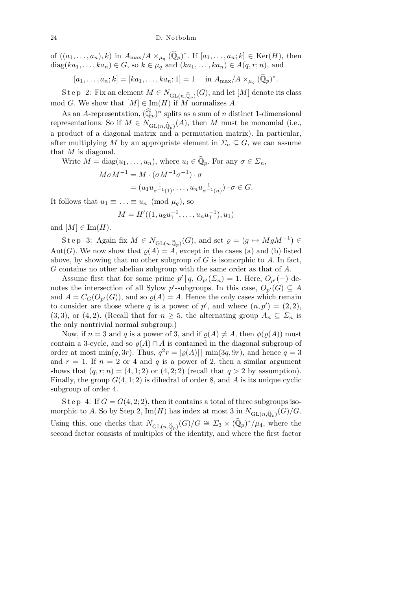24 D. Notbohm

of  $((a_1, \ldots, a_n), k)$  in  $A_{\max}/A \times_{\mu_q} (\widehat{\mathbb{Q}}_p)^*$ . If  $[a_1, \ldots, a_n; k] \in \text{Ker}(H)$ , then diag( $ka_1, \ldots, ka_n$ )  $\in G$ , so  $k \in \mu_q$  and  $(ka_1, \ldots, ka_n) \in A(q, r; n)$ , and

 $[a_1, \ldots, a_n; k] = [ka_1, \ldots, ka_n; 1] = 1$  in  $A_{\max}/A \times \mu_q$   $(\widehat{\mathbb{Q}}_p)^*$ .

S t e p 2: Fix an element  $M \in N_{\mathrm{GL}(n,\widehat{\mathbb{Q}}_p)}(G)$ , and let  $[M]$  denote its class mod *G*. We show that  $[M] \in \text{Im}(H)$  if *M* normalizes *A*.

As an *A*-representation,  $(\widehat{\mathbb{Q}}_p)^n$  splits as a sum of *n* distinct 1-dimensional representations. So if  $M \in N_{\mathrm{GL}(n,\hat{\mathbb{Q}}_p)}(A)$ , then *M* must be monomial (i.e., a product of a diagonal matrix and a permutation matrix). In particular, after multiplying *M* by an appropriate element in  $\Sigma_n \subseteq G$ , we can assume that *M* is diagonal.

Write  $M = \text{diag}(u_1, \ldots, u_n)$ , where  $u_i \in \widehat{\mathbb{Q}}_p$ . For any  $\sigma \in \Sigma_n$ ,

$$
M \sigma M^{-1} = M \cdot (\sigma M^{-1} \sigma^{-1}) \cdot \sigma
$$
  
=  $(u_1 u_{\sigma^{-1}(1)}^{-1}, \dots, u_n u_{\sigma^{-1}(n)}^{-1}) \cdot \sigma \in G.$ 

It follows that  $u_1 \equiv \ldots \equiv u_n \pmod{\mu_q}$ , so

$$
M = H'((1, u_2u_1^{-1}, \dots, u_nu_1^{-1}), u_1)
$$

and  $[M] \in \text{Im}(H)$ .

Step 3: Again fix  $M \in N_{\mathrm{GL}(n,\widehat{\mathbb{Q}}_p)}(G)$ , and set  $\varrho = (g \mapsto MgM^{-1}) \in$ Aut(*G*). We now show that  $\rho(A) = A$ , except in the cases (a) and (b) listed above, by showing that no other subgroup of *G* is isomorphic to *A*. In fact, *G* contains no other abelian subgroup with the same order as that of *A*.

Assume first that for some prime  $p' | q$ ,  $O_{p'}(\Sigma_n) = 1$ . Here,  $O_{p'}(-)$  denotes the intersection of all Sylow *p*'-subgroups. In this case,  $O_{p'}(G) \subseteq A$ and  $A = C_G(O_{p'}(G))$ , and so  $\varrho(A) = A$ . Hence the only cases which remain to consider are those where *q* is a power of *p*', and where  $(n, p') = (2, 2)$ , (3,3), or (4,2). (Recall that for  $n \geq 5$ , the alternating group  $A_n \subseteq \Sigma_n$  is the only nontrivial normal subgroup.)

Now, if  $n = 3$  and *q* is a power of 3, and if  $\rho(A) \neq A$ , then  $\phi(\rho(A))$  must contain a 3-cycle, and so  $\rho(A) \cap A$  is contained in the diagonal subgroup of order at most  $\min(q, 3r)$ . Thus,  $q^2r = |\rho(A)| |\min(3q, 9r)$ , and hence  $q = 3$ and  $r = 1$ . If  $n = 2$  or 4 and  $q$  is a power of 2, then a similar argument shows that  $(q, r; n) = (4, 1; 2)$  or  $(4, 2; 2)$  (recall that  $q > 2$  by assumption). Finally, the group  $G(4, 1; 2)$  is dihedral of order 8, and A is its unique cyclic subgroup of order 4.

S t e p 4: If  $G = G(4, 2; 2)$ , then it contains a total of three subgroups isomorphic to *A*. So by Step 2,  $\text{Im}(H)$  has index at most 3 in  $N_{\text{GL}(n,\widehat{\mathbb{Q}}_p)}(G)/G$ . Using this, one checks that  $N_{\mathrm{GL}(n,\hat{\mathbb{Q}}_p)}(G)/G \cong \Sigma_3 \times (\hat{\mathbb{Q}}_p)^*/\mu_4$ , where the second factor consists of multiples of the identity, and where the first factor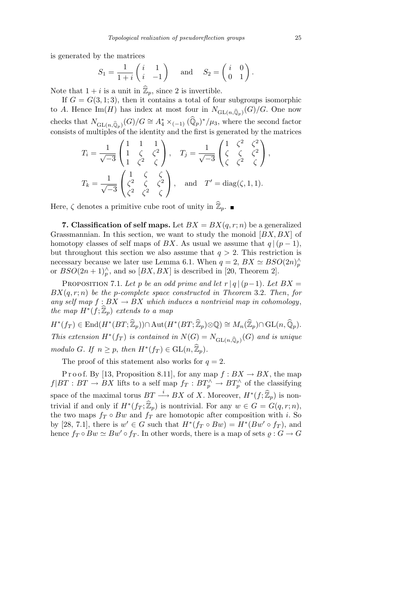is generated by the matrices  $\frac{1}{\sqrt{2}}$ 

$$
S_1 = \frac{1}{1+i} \begin{pmatrix} i & 1 \\ i & -1 \end{pmatrix} \quad \text{and} \quad S_2 = \begin{pmatrix} i & 0 \\ 0 & 1 \end{pmatrix}.
$$

Note that  $1 + i$  is a unit in  $\widehat{\mathbb{Z}}_p$ , since 2 is invertible.

If  $G = G(3, 1; 3)$ , then it contains a total of four subgroups isomorphic to *A*. Hence  $\text{Im}(H)$  has index at most four in  $N_{\text{GL}(n,\hat{\mathbb{Q}}_p)}(G)/G$ . One now checks that  $N_{\text{GL}(n,\widehat{\mathbb{Q}}_p)}(G)/G \cong A_4^* \times_{(-1)} (\widehat{\mathbb{Q}}_p)^*/\mu_3$ , where the second factor consists of multiples of the identity and the first is generated by the matrices  $\mu$  and  $\mu$  and the motion of contracts  $\omega_j$  and

$$
T_i = \frac{1}{\sqrt{-3}} \begin{pmatrix} 1 & 1 & 1 \\ 1 & \zeta & \zeta^2 \\ 1 & \zeta^2 & \zeta \end{pmatrix}, \quad T_j = \frac{1}{\sqrt{-3}} \begin{pmatrix} 1 & \zeta^2 & \zeta^2 \\ \zeta & \zeta & \zeta^2 \\ \zeta & \zeta^2 & \zeta \end{pmatrix},
$$
  

$$
T_k = \frac{1}{\sqrt{-3}} \begin{pmatrix} 1 & \zeta & \zeta \\ \zeta^2 & \zeta & \zeta^2 \\ \zeta^2 & \zeta^2 & \zeta \end{pmatrix}, \quad \text{and} \quad T' = \text{diag}(\zeta, 1, 1).
$$

Here,  $\zeta$  denotes a primitive cube root of unity in  $\widehat{\mathbb{Z}}_p$ .

**7. Classification of self maps.** Let  $BX = BX(q, r; n)$  be a generalized Grassmannian. In this section, we want to study the monoid [*BX, BX*] of homotopy classes of self maps of *BX*. As usual we assume that  $q|(p-1)$ , but throughout this section we also assume that  $q > 2$ . This restriction is necessary because we later use Lemma 6.1. When  $q = 2$ ,  $BX \simeq BSO(2n)_{p}^{\wedge}$ or  $BSO(2n+1)<sub>p</sub><sup>\wedge</sup>$ , and so  $[BX, BX]$  is described in [20, Theorem 2].

PROPOSITION 7.1. Let *p* be an odd prime and let  $r | q | (p-1)$ . Let  $BX =$ *BX*(*q, r*; *n*) *be the p-complete space constructed in Theorem* 3.2. *Then*, *for* any self map  $f : BX \to BX$  which induces a nontrivial map in cohomology,  $the \mapsto H^*(f; \widehat{\mathbb{Z}}_p)$  *extends to a map* 

 $H^*(f_T) \in \text{End}(H^*(BT;\widehat{\mathbb{Z}}_p)) \cap \text{Aut}(H^*(BT;\widehat{\mathbb{Z}}_p) \otimes \mathbb{Q}) \cong M_n(\widehat{\mathbb{Z}}_p) \cap \text{GL}(n,\widehat{\mathbb{Q}}_p).$ *This extension*  $H^*(f_T)$  *is contained in*  $N(G) = N_{GL(n,\hat{\mathbb{Q}}_p)}(G)$  *and is unique modulo G.* If  $n \geq p$ , then  $H^*(f_T) \in \text{GL}(n, \widehat{\mathbb{Z}}_p)$ *.* 

The proof of this statement also works for  $q = 2$ .

P r o o f. By [13, Proposition 8.11], for any map  $f : BX \to BX$ , the map  $f|BT : BT \to BX$  lifts to a self map  $f_T : BT_{p}^{\wedge} \to BT_{p}^{\wedge}$  of the classifying space of the maximal torus  $BT \xrightarrow{i} BX$  of X. Moreover,  $H^*(f; \widehat{\mathbb{Z}}_p)$  is nontrivial if and only if  $H^*(f_T; \widehat{\mathbb{Z}}_p)$  is nontrivial. For any  $w \in G = G(q, r; n)$ , the two maps  $f_T \circ Bw$  and  $f_T$  are homotopic after composition with *i*. So by [28, 7.1], there is  $w' \in G$  such that  $H^*(f_T \circ Bw) = H^*(Bw' \circ f_T)$ , and hence  $f_T \circ Bw \simeq Bw' \circ f_T$ . In other words, there is a map of sets  $\varrho : G \to G$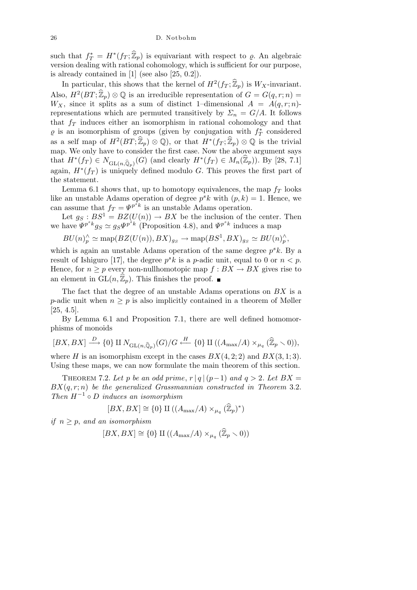such that  $f_T^* = H^*(f_T; \hat{\mathbb{Z}}_p)$  is equivariant with respect to  $\varrho$ . An algebraic version dealing with rational cohomology, which is sufficient for our purpose, is already contained in [1] (see also [25, 0.2]).

In particular, this shows that the kernel of  $H^2(f_T;\hat{\mathbb{Z}}_p)$  is  $W_X$ -invariant. Also,  $H^2(BT; \hat{\mathbb{Z}}_p) \otimes \mathbb{Q}$  is an irreducible representation of  $G = G(q, r; n) =$ *W<sub>X</sub>*, since it splits as a sum of distinct 1–dimensional  $A = A(q, r; n)$ representations which are permuted transitively by  $\Sigma_n = G/A$ . It follows that  $f_T$  induces either an isomorphism in rational cohomology and that  $\varrho$  is an isomorphism of groups (given by conjugation with  $f_T^*$  considered as a self map of  $H^2(BT; \hat{\mathbb{Z}}_p) \otimes \mathbb{Q}$ , or that  $H^*(f_T; \hat{\mathbb{Z}}_p) \otimes \mathbb{Q}$  is the trivial map. We only have to consider the first case. Now the above argument says  $\text{that } H^*(f_T) \in N_{\text{GL}(n,\hat{\mathbb{Q}}_p)}(G) \text{ (and clearly } H^*(f_T) \in M_n(\hat{\mathbb{Z}}_p)$ ). By [28, 7.1] again,  $H^*(f_T)$  is uniquely defined modulo *G*. This proves the first part of the statement.

Lemma 6.1 shows that, up to homotopy equivalences, the map  $f<sub>T</sub>$  looks like an unstable Adams operation of degree  $p^s k$  with  $(p, k) = 1$ . Hence, we can assume that  $f_T = \Psi^{p^s k}$  is an unstable Adams operation.

Let  $g_S : BS^1 = BZ(U(n)) \to BX$  be the inclusion of the center. Then we have  $\Psi^{p^s k} g_S \simeq g_S \Psi^{p^s k}$  (Proposition 4.8), and  $\Psi^{p^s k}$  induces a map

$$
BU(n)_p^{\wedge} \simeq \text{map}(BZ(U(n)), BX)_{g_S} \to \text{map}(BS^1, BX)_{g_S} \simeq BU(n)_p^{\wedge},
$$

which is again an unstable Adams operation of the same degree  $p^s k$ . By a result of Ishiguro [17], the degree  $p^s k$  is a *p*-adic unit, equal to 0 or  $n < p$ . Hence, for  $n \geq p$  every non-nullhomotopic map  $f : BX \to BX$  gives rise to an element in  $GL(n, \mathbb{Z}_p)$ . This finishes the proof.  $\blacksquare$ 

The fact that the degree of an unstable Adams operations on *BX* is a *p*-adic unit when  $n \geq p$  is also implicitly contained in a theorem of Møller [25, 4.5].

By Lemma 6.1 and Proposition 7.1, there are well defined homomorphisms of monoids

$$
[BX, BX] \xrightarrow{D} \{0\} \amalg N_{\operatorname{GL}(n,\widehat{\mathbb{Q}}_p)}(G)/G \xleftarrow{H} \{0\} \amalg ((A_{\max}/A) \times_{\mu_q} (\widehat{\mathbb{Z}}_p \setminus 0)),
$$

where *H* is an isomorphism except in the cases  $BX(4, 2; 2)$  and  $BX(3, 1; 3)$ . Using these maps, we can now formulate the main theorem of this section.

THEOREM 7.2. Let p be an odd prime,  $r |q|(p-1)$  and  $q > 2$ . Let  $BX =$ *BX*(*q, r*; *n*) *be the generalized Grassmannian constructed in Theorem* 3*.*2*. Then H<sup>−</sup>*<sup>1</sup> *◦ D induces an isomorphism*

$$
[BX, BX] \cong \{0\} \amalg ((A_{\max}/A) \times_{\mu_q} (\widehat{\mathbb{Z}}_p)^*)
$$

*if*  $n > p$ , *and an isomorphism* 

$$
[BX,BX] \cong \{0\} \amalg ((A_{\max}/A) \times_{\mu_q} (\widehat{\mathbb{Z}}_p \smallsetminus 0))
$$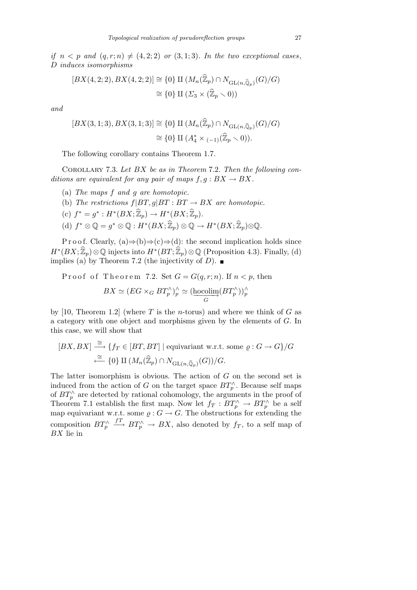*if*  $n < p$  *and*  $(q, r; n) \neq (4, 2; 2)$  *or*  $(3, 1; 3)$ *. In the two exceptional cases, D induces isomorphisms*

$$
[BX(4,2;2), BX(4,2;2)] \cong \{0\} \amalg (M_n(\widehat{\mathbb{Z}}_p) \cap N_{\mathrm{GL}(n,\widehat{\mathbb{Q}}_p)}(G)/G)
$$

$$
\cong \{0\} \amalg (\Sigma_3 \times (\widehat{\mathbb{Z}}_p \setminus 0))
$$

*and*

$$
[BX(3,1;3), BX(3,1;3)] \cong \{0\} \amalg (M_n(\widehat{\mathbb{Z}}_p) \cap N_{\mathrm{GL}(n,\widehat{\mathbb{Q}}_p)}(G)/G)
$$

$$
\cong \{0\} \amalg (A_4^* \times_{(-1)}(\widehat{\mathbb{Z}}_p \smallsetminus 0)).
$$

The following corollary contains Theorem 1.7.

Corollary 7.3. *Let BX be as in Theorem* 7*.*2*. Then the following conditions are equivalent for any pair of maps*  $f, g : BX \to BX$ .

- (a) *The maps f and g are homotopic.*
- (b) *The restrictions*  $f|BT, g|BT : BT \rightarrow BX$  *are homotopic.*
- $(c) f^* = g^* : H^*(BX; \widehat{\mathbb{Z}}_p) \to H^*(BX; \widehat{\mathbb{Z}}_p).$
- $(d)$   $f^* \otimes \mathbb{Q} = g^* \otimes \mathbb{Q} : H^*(BX; \widehat{\mathbb{Z}}_p) \otimes \mathbb{Q} \to H^*(BX; \widehat{\mathbb{Z}}_p) \otimes \mathbb{Q}.$

P r o o f. Clearly,  $(a) \Rightarrow (b) \Rightarrow (c) \Rightarrow (d)$ : the second implication holds since  $H^*(BX;\hat{\mathbb{Z}}_p)\otimes\mathbb{Q}$  injects into  $H^*(BT;\hat{\mathbb{Z}}_p)\otimes\mathbb{Q}$  (Proposition 4.3). Finally, (d) implies (a) by Theorem 7.2 (the injectivity of *D*).

Proof of Theorem 7.2. Set  $G = G(q, r; n)$ . If  $n < p$ , then

$$
BX \simeq (EG \times_G BT_p^{\wedge})_p^{\wedge} \simeq (\underset{G}{\text{hocolim}}(BT_p^{\wedge}))_p^{\wedge}
$$

by [10, Theorem 1.2] (where *T* is the *n*-torus) and where we think of *G* as a category with one object and morphisms given by the elements of *G*. In this case, we will show that

$$
[BX, BX] \xrightarrow{\cong} \{f_T \in [BT, BT] \mid \text{equivariant w.r.t. some } \rho : G \to G\}/G
$$

$$
\xleftarrow{\cong} \{0\} \amalg (M_n(\widehat{\mathbb{Z}}_p) \cap N_{\mathrm{GL}(n, \widehat{\mathbb{Q}}_p)}(G))/G.
$$

The latter isomorphism is obvious. The action of *G* on the second set is induced from the action of *G* on the target space  $BT_p^{\wedge}$ . Because self maps of  $BT_p^{\wedge}$  are detected by rational cohomology, the arguments in the proof of Theorem 7.1 establish the first map. Now let  $f_T : BT_\rho^\wedge \to BT_\rho^\wedge$  be a self map equivariant w.r.t. some  $\varrho: G \to G$ . The obstructions for extending the composition  $BT_p^{\wedge}$  $f^T \rightarrow BT \rightarrow B X$ , also denoted by  $f_T$ , to a self map of *BX* lie in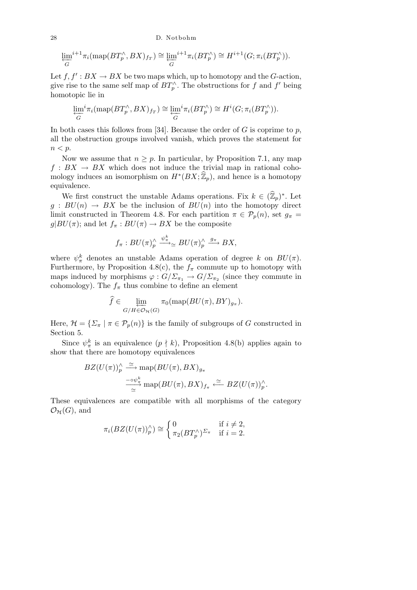28 D. Notbohm

$$
\varprojlim_G^{i+1} \pi_i(\operatorname{map}(BT_p^{\wedge}, BX)_{f_T}) \cong \varprojlim_G^{i+1} \pi_i(BT_p^{\wedge}) \cong H^{i+1}(G; \pi_i(BT_p^{\wedge})).
$$

Let  $f, f' : BX \to BX$  be two maps which, up to homotopy and the *G*-action, give rise to the same self map of  $BT_p^{\wedge}$ . The obstructions for *f* and *f'* being homotopic lie in

$$
\varprojlim_{G} {}^{i}\pi_{i}(\text{map}(BT_{p}^{\wedge}, BX)_{f_{T}}) \cong \varprojlim_{G} {}^{i}\pi_{i}(BT_{p}^{\wedge}) \cong H^{i}(G; \pi_{i}(BT_{p}^{\wedge})).
$$

In both cases this follows from [34]. Because the order of *G* is coprime to *p*, all the obstruction groups involved vanish, which proves the statement for *n < p*.

Now we assume that  $n \geq p$ . In particular, by Proposition 7.1, any map  $f: BX \to BX$  which does not induce the trivial map in rational cohomology induces an isomorphism on  $H^*(BX; \widehat{\mathbb{Z}}_p)$ , and hence is a homotopy equivalence.

We first construct the unstable Adams operations. Fix  $k \in (\widehat{\mathbb{Z}}_p)^*$ . Let  $g: BU(n) \rightarrow BX$  be the inclusion of  $BU(n)$  into the homotopy direct limit constructed in Theorem 4.8. For each partition  $\pi \in \mathcal{P}_p(n)$ , set  $g_{\pi} =$  $g|BU(\pi)$ ; and let  $f_\pi: BU(\pi) \to BX$  be the composite

$$
f_{\pi}: BU(\pi)^{\wedge}_{p} \xrightarrow{\psi_{\pi}^{k}} BU(\pi)^{\wedge}_{p} \xrightarrow{g_{\pi}} BX,
$$

where  $\psi_{\pi}^{k}$  denotes an unstable Adams operation of degree *k* on  $BU(\pi)$ . Furthermore, by Proposition 4.8(c), the  $f_\pi$  commute up to homotopy with maps induced by morphisms  $\varphi$  :  $G/\Sigma_{\pi_1} \to G/\Sigma_{\pi_2}$  (since they commute in cohomology). The  $f_{\pi}$  thus combine to define an element

$$
\widehat{f} \in \varprojlim_{G/H \in \mathcal{O}_{\mathcal{H}}(G)} \pi_0(\text{map}(BU(\pi), BY)_{g_{\pi}}).
$$

Here,  $\mathcal{H} = {\{\Sigma_{\pi} \mid \pi \in \mathcal{P}_p(n)\}}$  is the family of subgroups of *G* constructed in Section 5.

Since  $\psi_{\pi}^{k}$  is an equivalence  $(p \nmid k)$ , Proposition 4.8(b) applies again to show that there are homotopy equivalences

$$
BZ(U(\pi))_p^{\wedge} \stackrel{\simeq}{\longrightarrow} \text{map}(BU(\pi), BX)_{g_{\pi}}
$$

$$
\frac{\stackrel{-\circ \psi_{\pi}^k}{\longrightarrow}}{\simeq} \text{map}(BU(\pi), BX)_{f_{\pi}} \stackrel{\simeq}{\longleftarrow} BZ(U(\pi))_p^{\wedge}.
$$

These equivalences are compatible with all morphisms of the category  $\mathcal{O}_\mathcal{H}(G)$ , and

$$
\pi_i(BZ(U(\pi))^{\wedge}_p) \cong \begin{cases} 0 & \text{if } i \neq 2, \\ \pi_2(BT_p^{\wedge})^{\Sigma_{\pi}} & \text{if } i = 2. \end{cases}
$$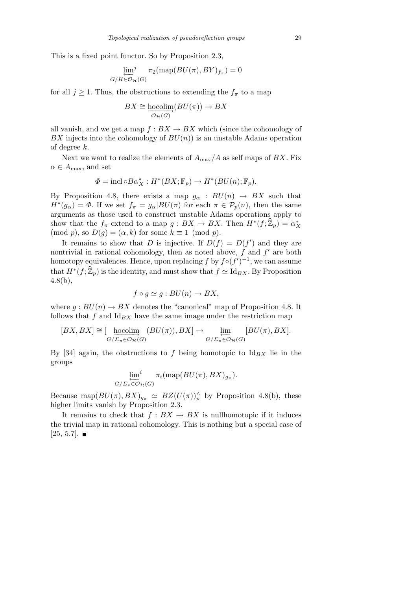This is a fixed point functor. So by Proposition 2.3,

$$
\lim_{G/H \in \mathcal{O}_{\mathcal{H}}(G)} \pi_2(\text{map}(BU(\pi), BY)_{f_{\pi}}) = 0
$$

for all  $j \geq 1$ . Thus, the obstructions to extending the  $f_{\pi}$  to a map

$$
BX \cong \underset{\mathcal{O}_{\mathcal{H}}(G)}{\text{hocolim}}(BU(\pi)) \to BX
$$

all vanish, and we get a map  $f : BX \to BX$  which (since the cohomology of *BX* injects into the cohomology of  $BU(n)$  is an unstable Adams operation of degree *k*.

Next we want to realize the elements of  $A_{\text{max}}/A$  as self maps of  $BX$ . Fix  $\alpha \in A_{\text{max}}$ , and set

$$
\Phi = \text{incl} \circ B\alpha_X^* : H^*(BX; \mathbb{F}_p) \to H^*(BU(n); \mathbb{F}_p).
$$

By Proposition 4.8, there exists a map  $g_\alpha$  :  $BU(n) \rightarrow BX$  such that  $H^*(g_\alpha) = \Phi$ . If we set  $f_\pi = g_\alpha | BU(\pi)$  for each  $\pi \in \mathcal{P}_p(n)$ , then the same arguments as those used to construct unstable Adams operations apply to show that the  $f_{\pi}$  extend to a map  $g : BX \to BX$ . Then  $H^*(f; \widehat{\mathbb{Z}}_p) = \alpha_X^*$  $(\text{mod } p)$ , so  $D(g) = (\alpha, k)$  for some  $k \equiv 1 \pmod{p}$ .

It remains to show that *D* is injective. If  $D(f) = D(f')$  and they are nontrivial in rational cohomology, then as noted above,  $f$  and  $f'$  are both homotopy equivalences. Hence, upon replacing  $f$  by  $f \circ (f')^{-1}$ , we can assume that  $H^*(f; \widehat{\mathbb{Z}}_p)$  is the identity, and must show that  $f \simeq \text{Id}_{BX}$ . By Proposition 4.8(b),

$$
f \circ g \simeq g : BU(n) \to BX,
$$

where  $g : BU(n) \to BX$  denotes the "canonical" map of Proposition 4.8. It follows that  $f$  and  $Id_{BX}$  have the same image under the restriction map

$$
[BX, BX] \cong [\underbrace{\text{hocolim}}_{G/\Sigma_{\pi} \in \mathcal{O}_{\mathcal{H}}(G)} (BU(\pi)), BX] \to \underbrace{\lim_{G/\Sigma_{\pi} \in \mathcal{O}_{\mathcal{H}}(G)} [BU(\pi), BX].
$$

By [34] again, the obstructions to  $f$  being homotopic to  $Id_{BX}$  lie in the groups

$$
\varprojlim_{G/Z_{\pi} \in \mathcal{O}_{\mathcal{H}}(G)} i \pi_i(\text{map}(BU(\pi), BX)_{g_{\pi}}).
$$

Because map $(BU(\pi), BX)_{g_{\pi}} \simeq BZ(U(\pi))_{p}^{\wedge}$  by Proposition 4.8(b), these higher limits vanish by Proposition 2.3.

It remains to check that  $f : BX \to BX$  is nullhomotopic if it induces the trivial map in rational cohomology. This is nothing but a special case of  $[25, 5.7]$ .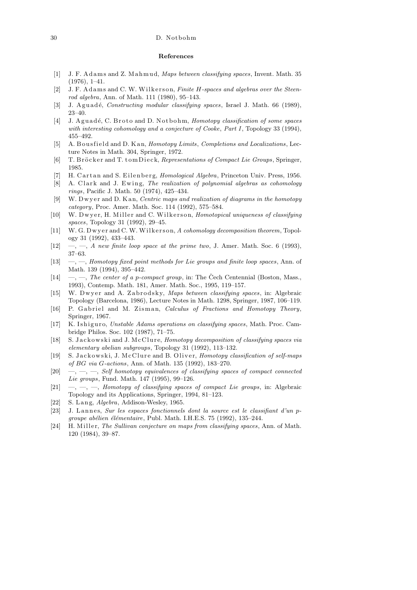## 30 D. Notbohm

## **References**

- [1] J. F. A d am s and Z. M a hm u d, *Maps between classifying spaces*, Invent. Math. 35 (1976), 1–41.
- [2] J. F. A d ams and C. W. Wilkerson, *Finite H*-spaces and algebras over the Steen*rod algebra*, Ann. of Math. 111 (1980), 95–143.
- [3] J. Aguadé, *Constructing modular classifying spaces*, Israel J. Math. 66 (1989), 23–40.
- [4] J. Aguadé, C. Broto and D. Notbohm, *Homotopy classification of some spaces with interesting cohomology and a conjecture of Cooke*, *Part I*, Topology 33 (1994), 455–492.
- [5] A. B ous field and D. K an, *Homotopy Limits*, *Completions and Localizations*, Lecture Notes in Math. 304, Springer, 1972.
- [6] T. Bröcker and T. tomDieck, *Representations of Compact Lie Groups*, Springer, 1985.
- [7] H. Cartan and S. Eilenberg, *Homological Algebra*, Princeton Univ. Press, 1956.
- [8] A. Clark and J. Ewing, *The realization of polynomial algebras as cohomology rings*, Pacific J. Math. 50 (1974), 425–434.
- [9] W. Dwyer and D. Kan, *Centric maps and realization of diagrams in the homotopy category*, Proc. Amer. Math. Soc. 114 (1992), 575–584.
- [10] W. Dwyer, H. Miller and C. Wilkerson, *Homotopical uniqueness of classifying spaces*, Topology 31 (1992), 29–45.
- [11] W. G. Dwyer and C. W. Wilkerson, *A cohomology decomposition theorem*, Topology 31 (1992), 433–443.
- [12] —, —, *A new finite loop space at the prime two*, J. Amer. Math. Soc. 6 (1993), 37–63.
- [13] —, —, *Homotopy fixed point methods for Lie groups and finite loop spaces*, Ann. of Math. 139 (1994), 395–442.
- $[14] \quad -,-$ , *The center of a p-compact group*, in: The Čech Centennial (Boston, Mass., 1993), Contemp. Math. 181, Amer. Math. Soc., 1995, 119–157.
- [15] W. Dwyer and A. Zabrodsky, *Maps between classifying spaces*, in: Algebraic Topology (Barcelona, 1986), Lecture Notes in Math. 1298, Springer, 1987, 106–119.
- [16] P. Gabriel and M. Zisman, *Calculus of Fractions and Homotopy Theory*, Springer, 1967.
- [17] K. Ishiguro, *Unstable Adams operations on classifying spaces*, Math. Proc. Cambridge Philos. Soc. 102 (1987), 71–75.
- [18] S. Jackowski and J. McClure, *Homotopy decomposition of classifying spaces via elementary abelian subgroups*, Topology 31 (1992), 113–132.
- [19] S. Jackowski, J. McClure and B. Oliver, *Homotopy classification of self-maps of BG via G-actions*, Ann. of Math. 135 (1992), 183–270.
- [20] —, —, —, *Self homotopy equivalences of classifying spaces of compact connected Lie groups*, Fund. Math. 147 (1995), 99–126.
- [21] —, —, —, *Homotopy of classifying spaces of compact Lie groups*, in: Algebraic Topology and its Applications, Springer, 1994, 81–123.
- [22] S. L a n g, *Algebra*, Addison-Wesley, 1965.
- [23] J. Lannes, *Sur les espaces fonctionnels dont la source est le classifiant d'un pgroupe abélien élémentaire*, Publ. Math. I.H.E.S. 75 (1992), 135–244.
- [24] H. Miller, *The Sullivan conjecture on maps from classifying spaces*, Ann. of Math. 120 (1984), 39–87.